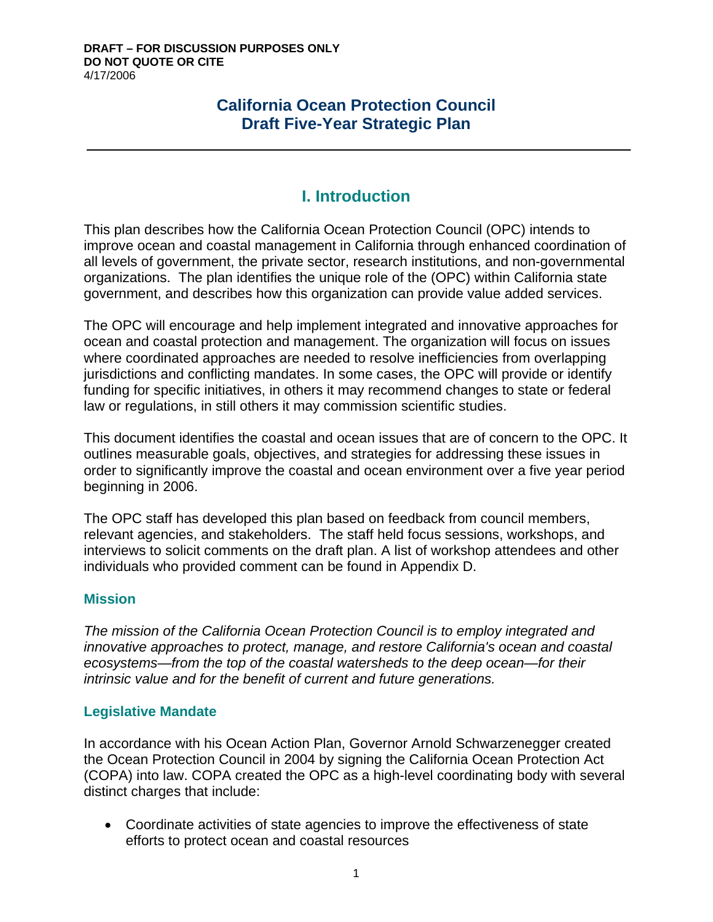# **California Ocean Protection Council Draft Five-Year Strategic Plan**

# **I. Introduction**

This plan describes how the California Ocean Protection Council (OPC) intends to improve ocean and coastal management in California through enhanced coordination of all levels of government, the private sector, research institutions, and non-governmental organizations. The plan identifies the unique role of the (OPC) within California state government, and describes how this organization can provide value added services.

The OPC will encourage and help implement integrated and innovative approaches for ocean and coastal protection and management. The organization will focus on issues where coordinated approaches are needed to resolve inefficiencies from overlapping jurisdictions and conflicting mandates. In some cases, the OPC will provide or identify funding for specific initiatives, in others it may recommend changes to state or federal law or regulations, in still others it may commission scientific studies.

This document identifies the coastal and ocean issues that are of concern to the OPC. It outlines measurable goals, objectives, and strategies for addressing these issues in order to significantly improve the coastal and ocean environment over a five year period beginning in 2006.

The OPC staff has developed this plan based on feedback from council members, relevant agencies, and stakeholders. The staff held focus sessions, workshops, and interviews to solicit comments on the draft plan. A list of workshop attendees and other individuals who provided comment can be found in Appendix D.

## **Mission**

*The mission of the California Ocean Protection Council is to employ integrated and innovative approaches to protect, manage, and restore California's ocean and coastal ecosystems—from the top of the coastal watersheds to the deep ocean—for their intrinsic value and for the benefit of current and future generations.* 

## **Legislative Mandate**

In accordance with his Ocean Action Plan, Governor Arnold Schwarzenegger created the Ocean Protection Council in 2004 by signing the California Ocean Protection Act (COPA) into law. COPA created the OPC as a high-level coordinating body with several distinct charges that include:

• Coordinate activities of state agencies to improve the effectiveness of state efforts to protect ocean and coastal resources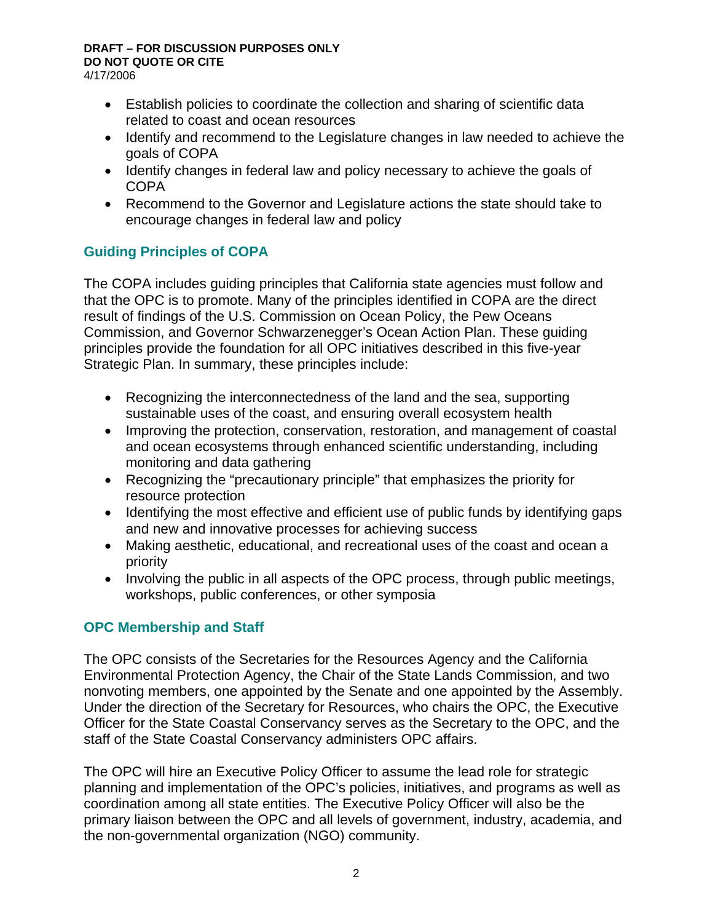- Establish policies to coordinate the collection and sharing of scientific data related to coast and ocean resources
- Identify and recommend to the Legislature changes in law needed to achieve the goals of COPA
- Identify changes in federal law and policy necessary to achieve the goals of COPA
- Recommend to the Governor and Legislature actions the state should take to encourage changes in federal law and policy

# **Guiding Principles of COPA**

The COPA includes guiding principles that California state agencies must follow and that the OPC is to promote. Many of the principles identified in COPA are the direct result of findings of the U.S. Commission on Ocean Policy, the Pew Oceans Commission, and Governor Schwarzenegger's Ocean Action Plan. These guiding principles provide the foundation for all OPC initiatives described in this five-year Strategic Plan. In summary, these principles include:

- Recognizing the interconnectedness of the land and the sea, supporting sustainable uses of the coast, and ensuring overall ecosystem health
- Improving the protection, conservation, restoration, and management of coastal and ocean ecosystems through enhanced scientific understanding, including monitoring and data gathering
- Recognizing the "precautionary principle" that emphasizes the priority for resource protection
- Identifying the most effective and efficient use of public funds by identifying gaps and new and innovative processes for achieving success
- Making aesthetic, educational, and recreational uses of the coast and ocean a priority
- Involving the public in all aspects of the OPC process, through public meetings, workshops, public conferences, or other symposia

## **OPC Membership and Staff**

The OPC consists of the Secretaries for the Resources Agency and the California Environmental Protection Agency, the Chair of the State Lands Commission, and two nonvoting members, one appointed by the Senate and one appointed by the Assembly. Under the direction of the Secretary for Resources, who chairs the OPC, the Executive Officer for the State Coastal Conservancy serves as the Secretary to the OPC, and the staff of the State Coastal Conservancy administers OPC affairs.

The OPC will hire an Executive Policy Officer to assume the lead role for strategic planning and implementation of the OPC's policies, initiatives, and programs as well as coordination among all state entities. The Executive Policy Officer will also be the primary liaison between the OPC and all levels of government, industry, academia, and the non-governmental organization (NGO) community.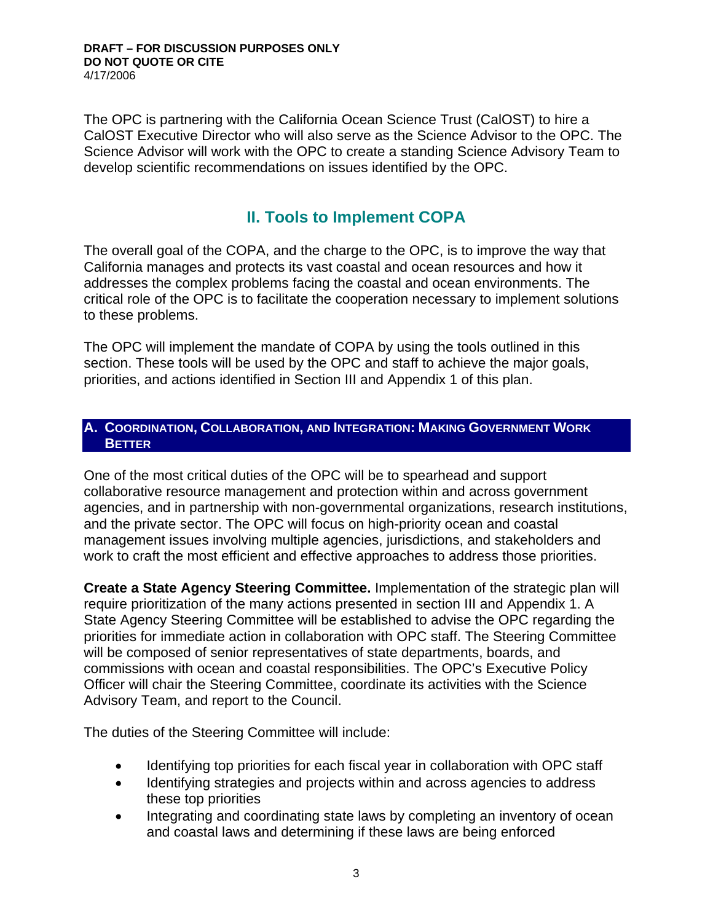The OPC is partnering with the California Ocean Science Trust (CalOST) to hire a CalOST Executive Director who will also serve as the Science Advisor to the OPC. The Science Advisor will work with the OPC to create a standing Science Advisory Team to develop scientific recommendations on issues identified by the OPC.

# **II. Tools to Implement COPA**

The overall goal of the COPA, and the charge to the OPC, is to improve the way that California manages and protects its vast coastal and ocean resources and how it addresses the complex problems facing the coastal and ocean environments. The critical role of the OPC is to facilitate the cooperation necessary to implement solutions to these problems.

The OPC will implement the mandate of COPA by using the tools outlined in this section. These tools will be used by the OPC and staff to achieve the major goals, priorities, and actions identified in Section III and Appendix 1 of this plan.

#### **A. COORDINATION, COLLABORATION, AND INTEGRATION: MAKING GOVERNMENT WORK BETTER**

One of the most critical duties of the OPC will be to spearhead and support collaborative resource management and protection within and across government agencies, and in partnership with non-governmental organizations, research institutions, and the private sector. The OPC will focus on high-priority ocean and coastal management issues involving multiple agencies, jurisdictions, and stakeholders and work to craft the most efficient and effective approaches to address those priorities.

**Create a State Agency Steering Committee.** Implementation of the strategic plan will require prioritization of the many actions presented in section III and Appendix 1. A State Agency Steering Committee will be established to advise the OPC regarding the priorities for immediate action in collaboration with OPC staff. The Steering Committee will be composed of senior representatives of state departments, boards, and commissions with ocean and coastal responsibilities. The OPC's Executive Policy Officer will chair the Steering Committee, coordinate its activities with the Science Advisory Team, and report to the Council.

The duties of the Steering Committee will include:

- Identifying top priorities for each fiscal year in collaboration with OPC staff
- Identifying strategies and projects within and across agencies to address these top priorities
- Integrating and coordinating state laws by completing an inventory of ocean and coastal laws and determining if these laws are being enforced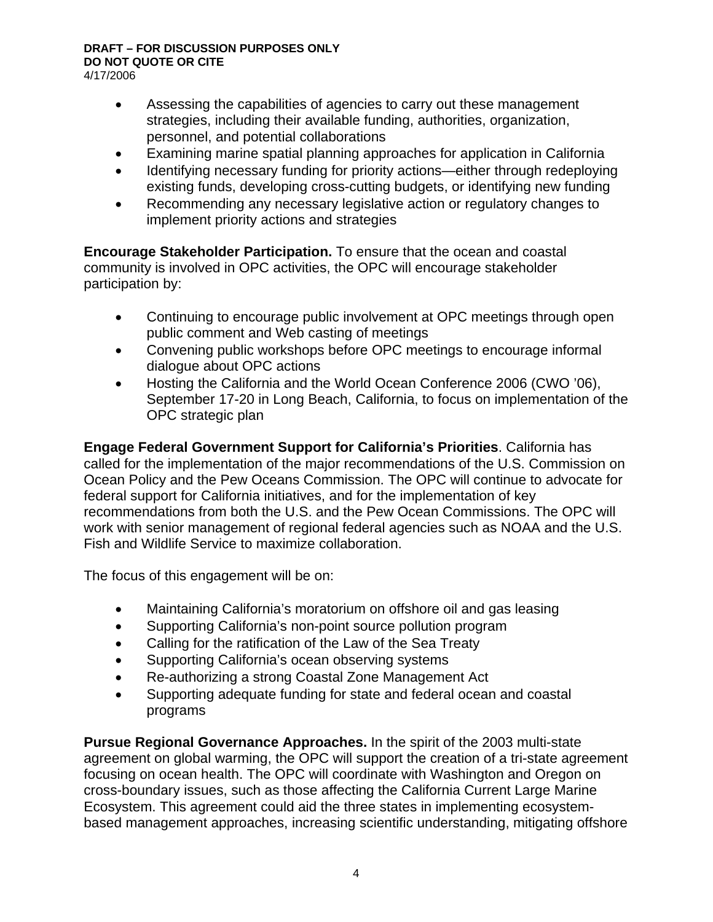- Assessing the capabilities of agencies to carry out these management strategies, including their available funding, authorities, organization, personnel, and potential collaborations
- Examining marine spatial planning approaches for application in California
- Identifying necessary funding for priority actions—either through redeploying existing funds, developing cross-cutting budgets, or identifying new funding
- Recommending any necessary legislative action or regulatory changes to implement priority actions and strategies

**Encourage Stakeholder Participation.** To ensure that the ocean and coastal community is involved in OPC activities, the OPC will encourage stakeholder participation by:

- Continuing to encourage public involvement at OPC meetings through open public comment and Web casting of meetings
- Convening public workshops before OPC meetings to encourage informal dialogue about OPC actions
- Hosting the California and the World Ocean Conference 2006 (CWO '06), September 17-20 in Long Beach, California, to focus on implementation of the OPC strategic plan

**Engage Federal Government Support for California's Priorities**. California has called for the implementation of the major recommendations of the U.S. Commission on Ocean Policy and the Pew Oceans Commission. The OPC will continue to advocate for federal support for California initiatives, and for the implementation of key recommendations from both the U.S. and the Pew Ocean Commissions. The OPC will work with senior management of regional federal agencies such as NOAA and the U.S. Fish and Wildlife Service to maximize collaboration.

The focus of this engagement will be on:

- Maintaining California's moratorium on offshore oil and gas leasing
- Supporting California's non-point source pollution program
- Calling for the ratification of the Law of the Sea Treaty
- Supporting California's ocean observing systems
- Re-authorizing a strong Coastal Zone Management Act
- Supporting adequate funding for state and federal ocean and coastal programs

**Pursue Regional Governance Approaches.** In the spirit of the 2003 multi-state agreement on global warming, the OPC will support the creation of a tri-state agreement focusing on ocean health. The OPC will coordinate with Washington and Oregon on cross-boundary issues, such as those affecting the California Current Large Marine Ecosystem. This agreement could aid the three states in implementing ecosystembased management approaches, increasing scientific understanding, mitigating offshore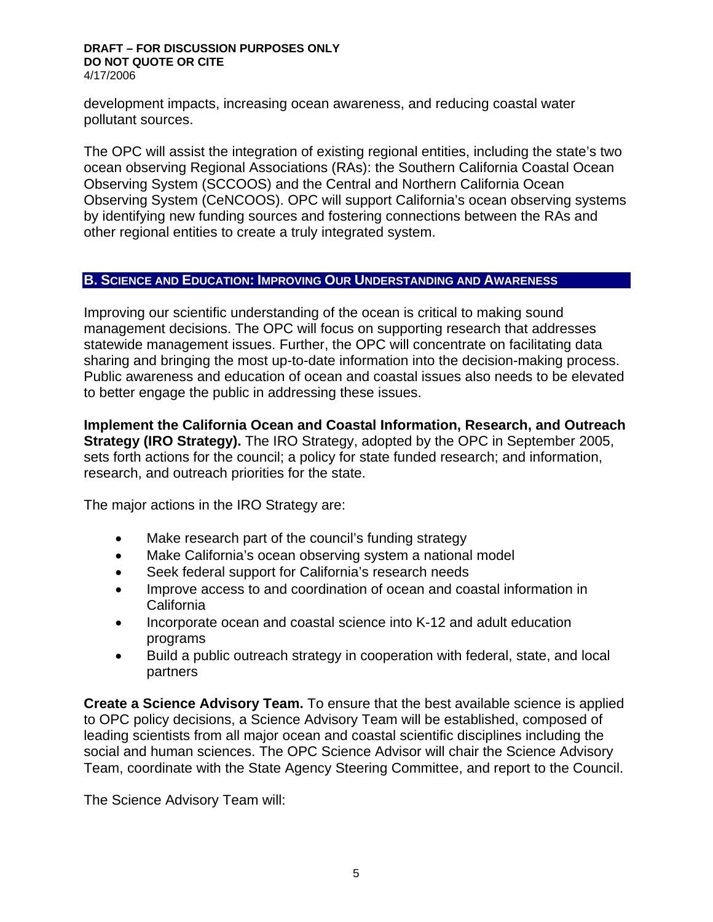development impacts, increasing ocean awareness, and reducing coastal water pollutant sources.

The OPC will assist the integration of existing regional entities, including the state's two ocean observing Regional Associations (RAs): the Southern California Coastal Ocean Observing System (SCCOOS) and the Central and Northern California Ocean Observing System (CeNCOOS). OPC will support California's ocean observing systems by identifying new funding sources and fostering connections between the RAs and other regional entities to create a truly integrated system.

#### **B. SCIENCE AND EDUCATION: IMPROVING OUR UNDERSTANDING AND AWARENESS**

Improving our scientific understanding of the ocean is critical to making sound management decisions. The OPC will focus on supporting research that addresses statewide management issues. Further, the OPC will concentrate on facilitating data sharing and bringing the most up-to-date information into the decision-making process. Public awareness and education of ocean and coastal issues also needs to be elevated to better engage the public in addressing these issues.

**Implement the California Ocean and Coastal Information, Research, and Outreach Strategy (IRO Strategy).** The IRO Strategy, adopted by the OPC in September 2005, sets forth actions for the council; a policy for state funded research; and information, research, and outreach priorities for the state.

The major actions in the IRO Strategy are:

- Make research part of the council's funding strategy
- Make California's ocean observing system a national model
- Seek federal support for California's research needs
- Improve access to and coordination of ocean and coastal information in California
- Incorporate ocean and coastal science into K-12 and adult education programs
- Build a public outreach strategy in cooperation with federal, state, and local partners

**Create a Science Advisory Team.** To ensure that the best available science is applied to OPC policy decisions, a Science Advisory Team will be established, composed of leading scientists from all major ocean and coastal scientific disciplines including the social and human sciences. The OPC Science Advisor will chair the Science Advisory Team, coordinate with the State Agency Steering Committee, and report to the Council.

The Science Advisory Team will: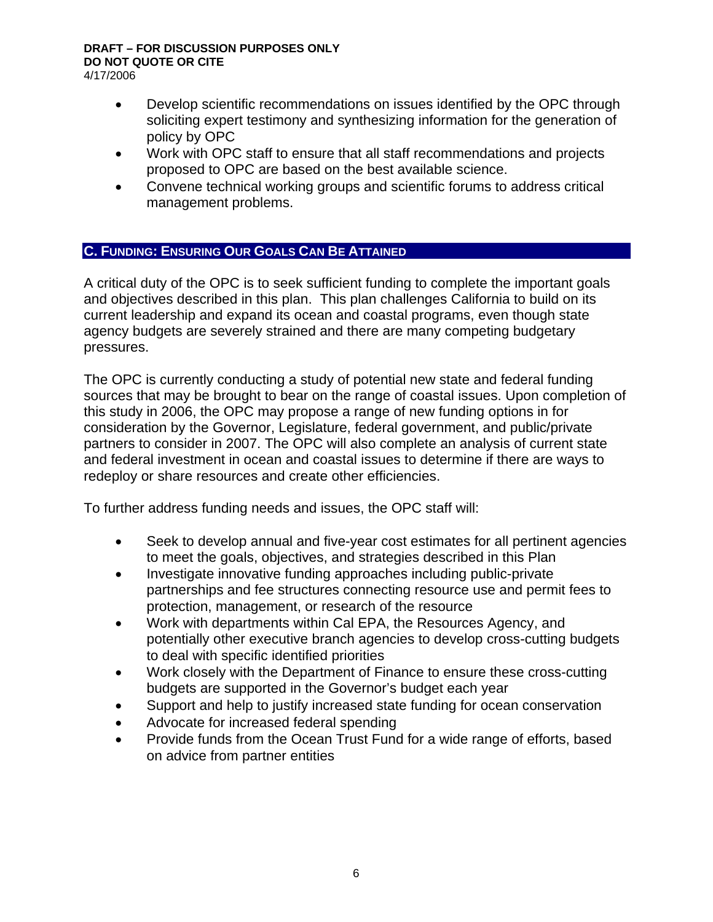- Develop scientific recommendations on issues identified by the OPC through soliciting expert testimony and synthesizing information for the generation of policy by OPC
- Work with OPC staff to ensure that all staff recommendations and projects proposed to OPC are based on the best available science.
- Convene technical working groups and scientific forums to address critical management problems.

## **C. FUNDING: ENSURING OUR GOALS CAN BE ATTAINED**

A critical duty of the OPC is to seek sufficient funding to complete the important goals and objectives described in this plan. This plan challenges California to build on its current leadership and expand its ocean and coastal programs, even though state agency budgets are severely strained and there are many competing budgetary pressures.

The OPC is currently conducting a study of potential new state and federal funding sources that may be brought to bear on the range of coastal issues. Upon completion of this study in 2006, the OPC may propose a range of new funding options in for consideration by the Governor, Legislature, federal government, and public/private partners to consider in 2007. The OPC will also complete an analysis of current state and federal investment in ocean and coastal issues to determine if there are ways to redeploy or share resources and create other efficiencies.

To further address funding needs and issues, the OPC staff will:

- Seek to develop annual and five-year cost estimates for all pertinent agencies to meet the goals, objectives, and strategies described in this Plan
- Investigate innovative funding approaches including public-private partnerships and fee structures connecting resource use and permit fees to protection, management, or research of the resource
- Work with departments within Cal EPA, the Resources Agency, and potentially other executive branch agencies to develop cross-cutting budgets to deal with specific identified priorities
- Work closely with the Department of Finance to ensure these cross-cutting budgets are supported in the Governor's budget each year
- Support and help to justify increased state funding for ocean conservation
- Advocate for increased federal spending
- Provide funds from the Ocean Trust Fund for a wide range of efforts, based on advice from partner entities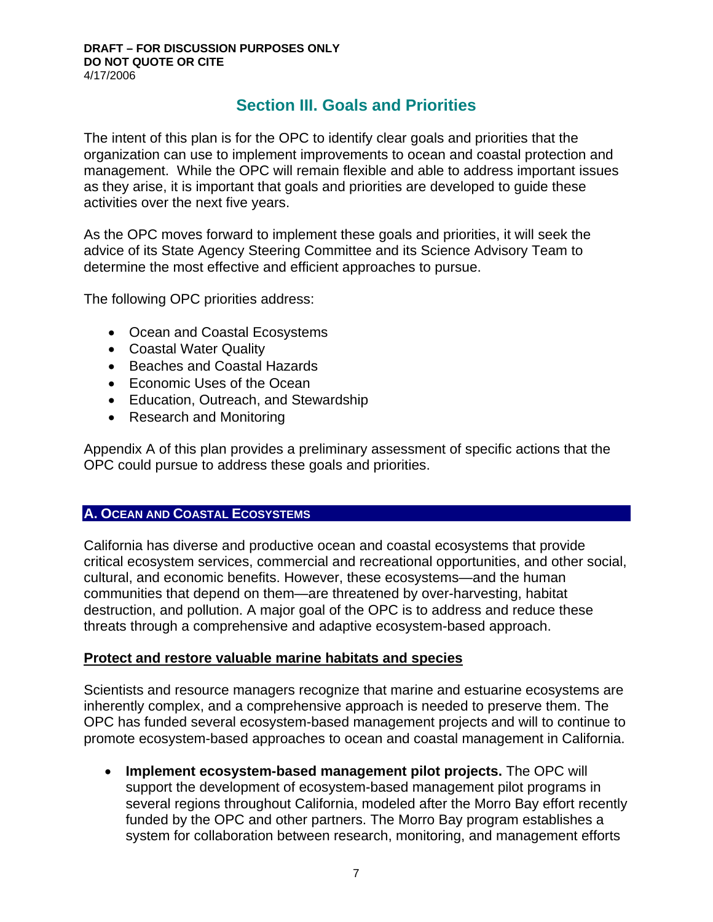# **Section III. Goals and Priorities**

The intent of this plan is for the OPC to identify clear goals and priorities that the organization can use to implement improvements to ocean and coastal protection and management. While the OPC will remain flexible and able to address important issues as they arise, it is important that goals and priorities are developed to guide these activities over the next five years.

As the OPC moves forward to implement these goals and priorities, it will seek the advice of its State Agency Steering Committee and its Science Advisory Team to determine the most effective and efficient approaches to pursue.

The following OPC priorities address:

- Ocean and Coastal Ecosystems
- Coastal Water Quality
- Beaches and Coastal Hazards
- Economic Uses of the Ocean
- Education, Outreach, and Stewardship
- Research and Monitoring

Appendix A of this plan provides a preliminary assessment of specific actions that the OPC could pursue to address these goals and priorities.

## **A. OCEAN AND COASTAL ECOSYSTEMS**

California has diverse and productive ocean and coastal ecosystems that provide critical ecosystem services, commercial and recreational opportunities, and other social, cultural, and economic benefits. However, these ecosystems—and the human communities that depend on them—are threatened by over-harvesting, habitat destruction, and pollution. A major goal of the OPC is to address and reduce these threats through a comprehensive and adaptive ecosystem-based approach.

## **Protect and restore valuable marine habitats and species**

Scientists and resource managers recognize that marine and estuarine ecosystems are inherently complex, and a comprehensive approach is needed to preserve them. The OPC has funded several ecosystem-based management projects and will to continue to promote ecosystem-based approaches to ocean and coastal management in California.

• **Implement ecosystem-based management pilot projects.** The OPC will support the development of ecosystem-based management pilot programs in several regions throughout California, modeled after the Morro Bay effort recently funded by the OPC and other partners. The Morro Bay program establishes a system for collaboration between research, monitoring, and management efforts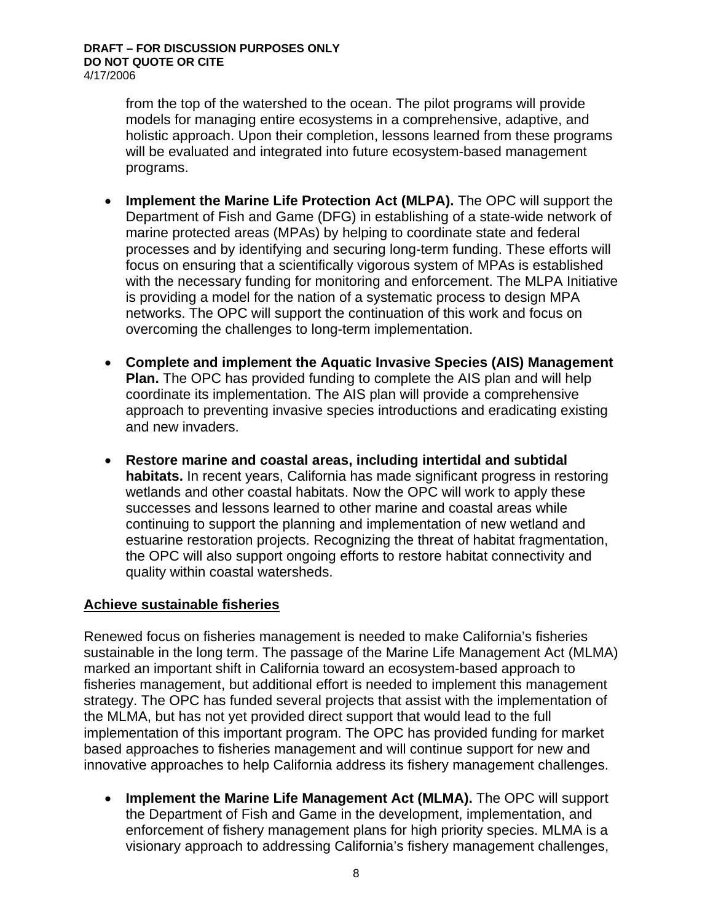from the top of the watershed to the ocean. The pilot programs will provide models for managing entire ecosystems in a comprehensive, adaptive, and holistic approach. Upon their completion, lessons learned from these programs will be evaluated and integrated into future ecosystem-based management programs.

- **Implement the Marine Life Protection Act (MLPA).** The OPC will support the Department of Fish and Game (DFG) in establishing of a state-wide network of marine protected areas (MPAs) by helping to coordinate state and federal processes and by identifying and securing long-term funding. These efforts will focus on ensuring that a scientifically vigorous system of MPAs is established with the necessary funding for monitoring and enforcement. The MLPA Initiative is providing a model for the nation of a systematic process to design MPA networks. The OPC will support the continuation of this work and focus on overcoming the challenges to long-term implementation.
- **Complete and implement the Aquatic Invasive Species (AIS) Management Plan.** The OPC has provided funding to complete the AIS plan and will help coordinate its implementation. The AIS plan will provide a comprehensive approach to preventing invasive species introductions and eradicating existing and new invaders.
- **Restore marine and coastal areas, including intertidal and subtidal habitats.** In recent years, California has made significant progress in restoring wetlands and other coastal habitats. Now the OPC will work to apply these successes and lessons learned to other marine and coastal areas while continuing to support the planning and implementation of new wetland and estuarine restoration projects. Recognizing the threat of habitat fragmentation, the OPC will also support ongoing efforts to restore habitat connectivity and quality within coastal watersheds.

## **Achieve sustainable fisheries**

Renewed focus on fisheries management is needed to make California's fisheries sustainable in the long term. The passage of the Marine Life Management Act (MLMA) marked an important shift in California toward an ecosystem-based approach to fisheries management, but additional effort is needed to implement this management strategy. The OPC has funded several projects that assist with the implementation of the MLMA, but has not yet provided direct support that would lead to the full implementation of this important program. The OPC has provided funding for market based approaches to fisheries management and will continue support for new and innovative approaches to help California address its fishery management challenges.

• **Implement the Marine Life Management Act (MLMA).** The OPC will support the Department of Fish and Game in the development, implementation, and enforcement of fishery management plans for high priority species. MLMA is a visionary approach to addressing California's fishery management challenges,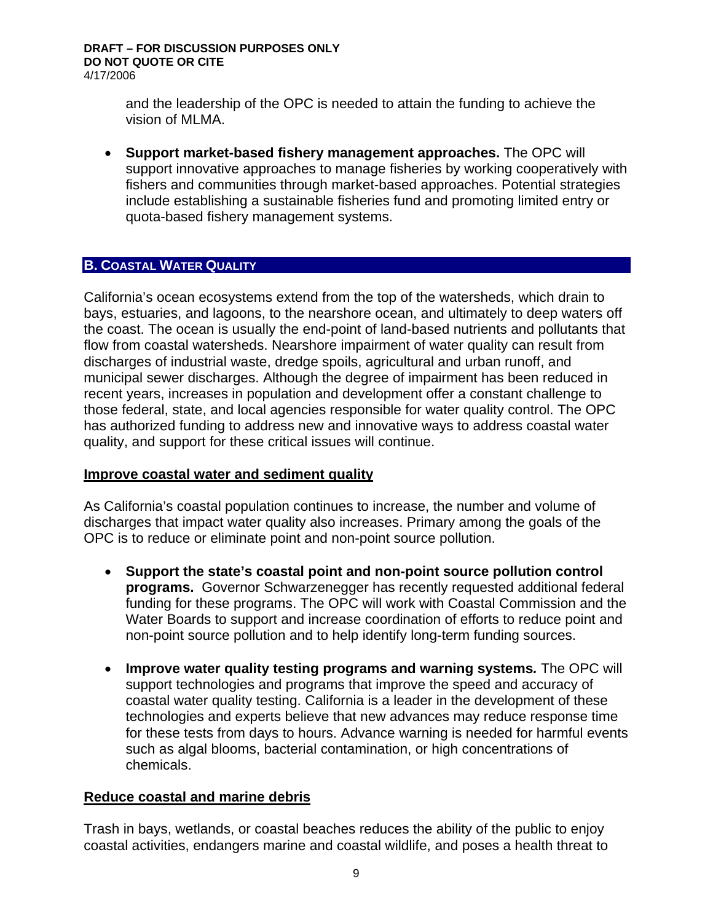and the leadership of the OPC is needed to attain the funding to achieve the vision of MLMA.

• **Support market-based fishery management approaches.** The OPC will support innovative approaches to manage fisheries by working cooperatively with fishers and communities through market-based approaches. Potential strategies include establishing a sustainable fisheries fund and promoting limited entry or quota-based fishery management systems.

## **B. COASTAL WATER QUALITY**

California's ocean ecosystems extend from the top of the watersheds, which drain to bays, estuaries, and lagoons, to the nearshore ocean, and ultimately to deep waters off the coast. The ocean is usually the end-point of land-based nutrients and pollutants that flow from coastal watersheds. Nearshore impairment of water quality can result from discharges of industrial waste, dredge spoils, agricultural and urban runoff, and municipal sewer discharges. Although the degree of impairment has been reduced in recent years, increases in population and development offer a constant challenge to those federal, state, and local agencies responsible for water quality control. The OPC has authorized funding to address new and innovative ways to address coastal water quality, and support for these critical issues will continue.

## **Improve coastal water and sediment quality**

As California's coastal population continues to increase, the number and volume of discharges that impact water quality also increases. Primary among the goals of the OPC is to reduce or eliminate point and non-point source pollution.

- **Support the state's coastal point and non-point source pollution control programs.** Governor Schwarzenegger has recently requested additional federal funding for these programs. The OPC will work with Coastal Commission and the Water Boards to support and increase coordination of efforts to reduce point and non-point source pollution and to help identify long-term funding sources.
- **Improve water quality testing programs and warning systems***.* The OPC will support technologies and programs that improve the speed and accuracy of coastal water quality testing. California is a leader in the development of these technologies and experts believe that new advances may reduce response time for these tests from days to hours. Advance warning is needed for harmful events such as algal blooms, bacterial contamination, or high concentrations of chemicals.

## **Reduce coastal and marine debris**

Trash in bays, wetlands, or coastal beaches reduces the ability of the public to enjoy coastal activities, endangers marine and coastal wildlife, and poses a health threat to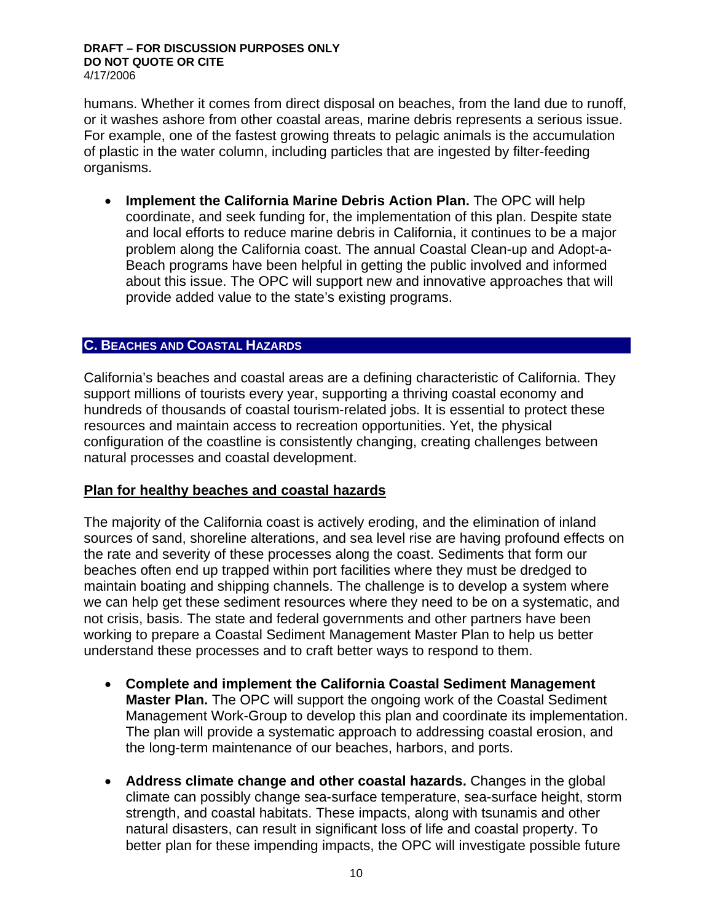humans. Whether it comes from direct disposal on beaches, from the land due to runoff, or it washes ashore from other coastal areas, marine debris represents a serious issue. For example, one of the fastest growing threats to pelagic animals is the accumulation of plastic in the water column, including particles that are ingested by filter-feeding organisms.

• **Implement the California Marine Debris Action Plan.** The OPC will help coordinate, and seek funding for, the implementation of this plan. Despite state and local efforts to reduce marine debris in California, it continues to be a major problem along the California coast. The annual Coastal Clean-up and Adopt-a-Beach programs have been helpful in getting the public involved and informed about this issue. The OPC will support new and innovative approaches that will provide added value to the state's existing programs.

#### **C. BEACHES AND COASTAL HAZARDS**

California's beaches and coastal areas are a defining characteristic of California. They support millions of tourists every year, supporting a thriving coastal economy and hundreds of thousands of coastal tourism-related jobs. It is essential to protect these resources and maintain access to recreation opportunities. Yet, the physical configuration of the coastline is consistently changing, creating challenges between natural processes and coastal development.

#### **Plan for healthy beaches and coastal hazards**

The majority of the California coast is actively eroding, and the elimination of inland sources of sand, shoreline alterations, and sea level rise are having profound effects on the rate and severity of these processes along the coast. Sediments that form our beaches often end up trapped within port facilities where they must be dredged to maintain boating and shipping channels. The challenge is to develop a system where we can help get these sediment resources where they need to be on a systematic, and not crisis, basis. The state and federal governments and other partners have been working to prepare a Coastal Sediment Management Master Plan to help us better understand these processes and to craft better ways to respond to them.

- **Complete and implement the California Coastal Sediment Management Master Plan.** The OPC will support the ongoing work of the Coastal Sediment Management Work-Group to develop this plan and coordinate its implementation. The plan will provide a systematic approach to addressing coastal erosion, and the long-term maintenance of our beaches, harbors, and ports.
- **Address climate change and other coastal hazards.** Changes in the global climate can possibly change sea-surface temperature, sea-surface height, storm strength, and coastal habitats. These impacts, along with tsunamis and other natural disasters, can result in significant loss of life and coastal property. To better plan for these impending impacts, the OPC will investigate possible future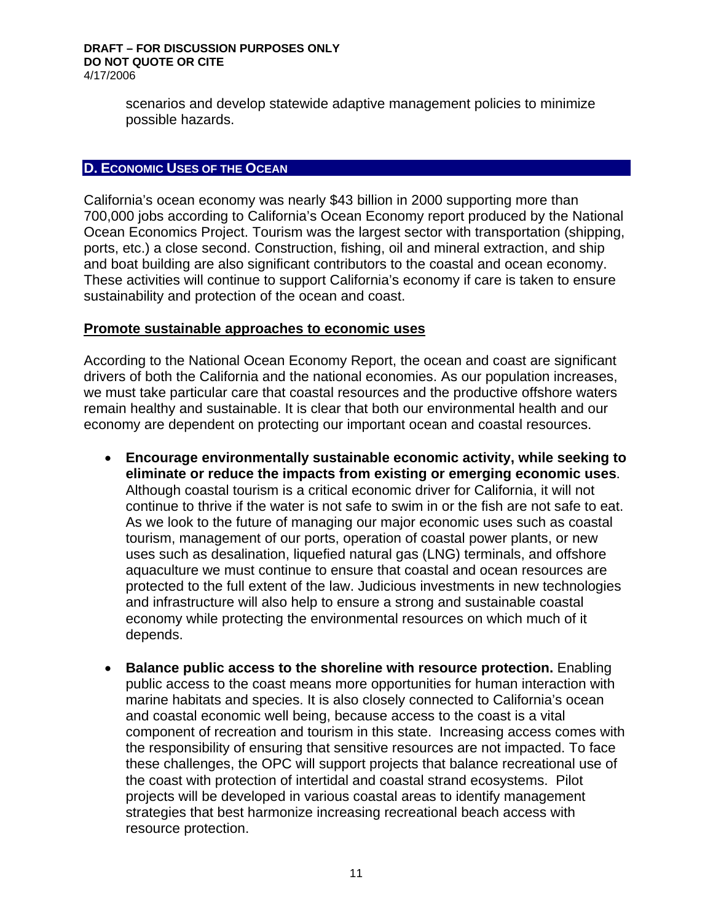scenarios and develop statewide adaptive management policies to minimize possible hazards.

#### **D. ECONOMIC USES OF THE OCEAN**

California's ocean economy was nearly \$43 billion in 2000 supporting more than 700,000 jobs according to California's Ocean Economy report produced by the National Ocean Economics Project. Tourism was the largest sector with transportation (shipping, ports, etc.) a close second. Construction, fishing, oil and mineral extraction, and ship and boat building are also significant contributors to the coastal and ocean economy. These activities will continue to support California's economy if care is taken to ensure sustainability and protection of the ocean and coast.

#### **Promote sustainable approaches to economic uses**

According to the National Ocean Economy Report, the ocean and coast are significant drivers of both the California and the national economies. As our population increases, we must take particular care that coastal resources and the productive offshore waters remain healthy and sustainable. It is clear that both our environmental health and our economy are dependent on protecting our important ocean and coastal resources.

- **Encourage environmentally sustainable economic activity, while seeking to eliminate or reduce the impacts from existing or emerging economic uses**. Although coastal tourism is a critical economic driver for California, it will not continue to thrive if the water is not safe to swim in or the fish are not safe to eat. As we look to the future of managing our major economic uses such as coastal tourism, management of our ports, operation of coastal power plants, or new uses such as desalination, liquefied natural gas (LNG) terminals, and offshore aquaculture we must continue to ensure that coastal and ocean resources are protected to the full extent of the law. Judicious investments in new technologies and infrastructure will also help to ensure a strong and sustainable coastal economy while protecting the environmental resources on which much of it depends.
- **Balance public access to the shoreline with resource protection.** Enabling public access to the coast means more opportunities for human interaction with marine habitats and species. It is also closely connected to California's ocean and coastal economic well being, because access to the coast is a vital component of recreation and tourism in this state. Increasing access comes with the responsibility of ensuring that sensitive resources are not impacted. To face these challenges, the OPC will support projects that balance recreational use of the coast with protection of intertidal and coastal strand ecosystems. Pilot projects will be developed in various coastal areas to identify management strategies that best harmonize increasing recreational beach access with resource protection.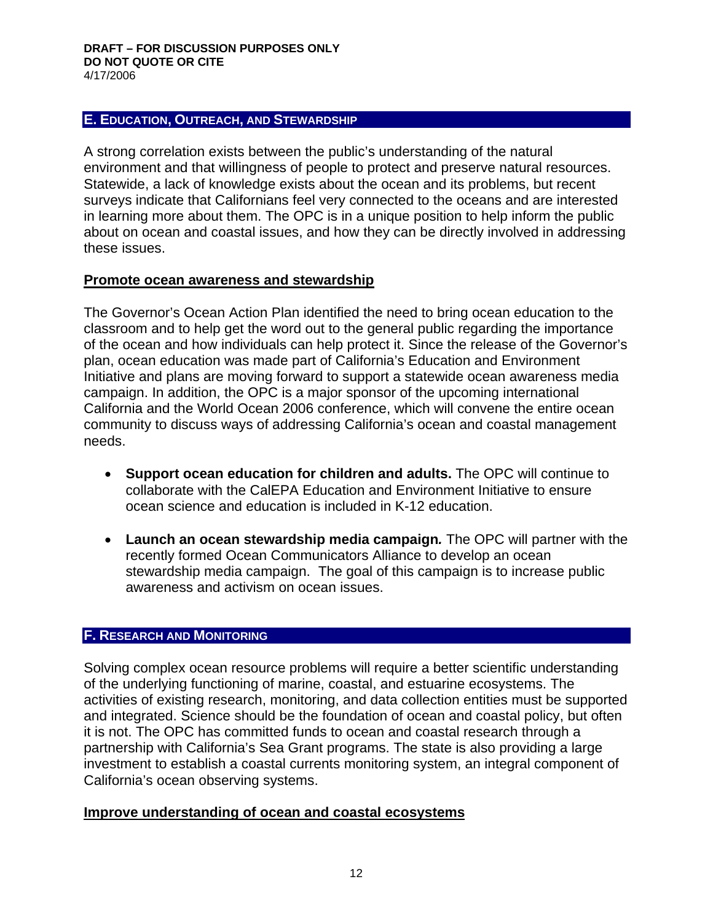#### **E. EDUCATION, OUTREACH, AND STEWARDSHIP**

A strong correlation exists between the public's understanding of the natural environment and that willingness of people to protect and preserve natural resources. Statewide, a lack of knowledge exists about the ocean and its problems, but recent surveys indicate that Californians feel very connected to the oceans and are interested in learning more about them. The OPC is in a unique position to help inform the public about on ocean and coastal issues, and how they can be directly involved in addressing these issues.

#### **Promote ocean awareness and stewardship**

The Governor's Ocean Action Plan identified the need to bring ocean education to the classroom and to help get the word out to the general public regarding the importance of the ocean and how individuals can help protect it. Since the release of the Governor's plan, ocean education was made part of California's Education and Environment Initiative and plans are moving forward to support a statewide ocean awareness media campaign. In addition, the OPC is a major sponsor of the upcoming international California and the World Ocean 2006 conference, which will convene the entire ocean community to discuss ways of addressing California's ocean and coastal management needs.

- **Support ocean education for children and adults.** The OPC will continue to collaborate with the CalEPA Education and Environment Initiative to ensure ocean science and education is included in K-12 education.
- **Launch an ocean stewardship media campaign***.* The OPC will partner with the recently formed Ocean Communicators Alliance to develop an ocean stewardship media campaign. The goal of this campaign is to increase public awareness and activism on ocean issues.

## **F. RESEARCH AND MONITORING**

Solving complex ocean resource problems will require a better scientific understanding of the underlying functioning of marine, coastal, and estuarine ecosystems. The activities of existing research, monitoring, and data collection entities must be supported and integrated. Science should be the foundation of ocean and coastal policy, but often it is not. The OPC has committed funds to ocean and coastal research through a partnership with California's Sea Grant programs. The state is also providing a large investment to establish a coastal currents monitoring system, an integral component of California's ocean observing systems.

#### **Improve understanding of ocean and coastal ecosystems**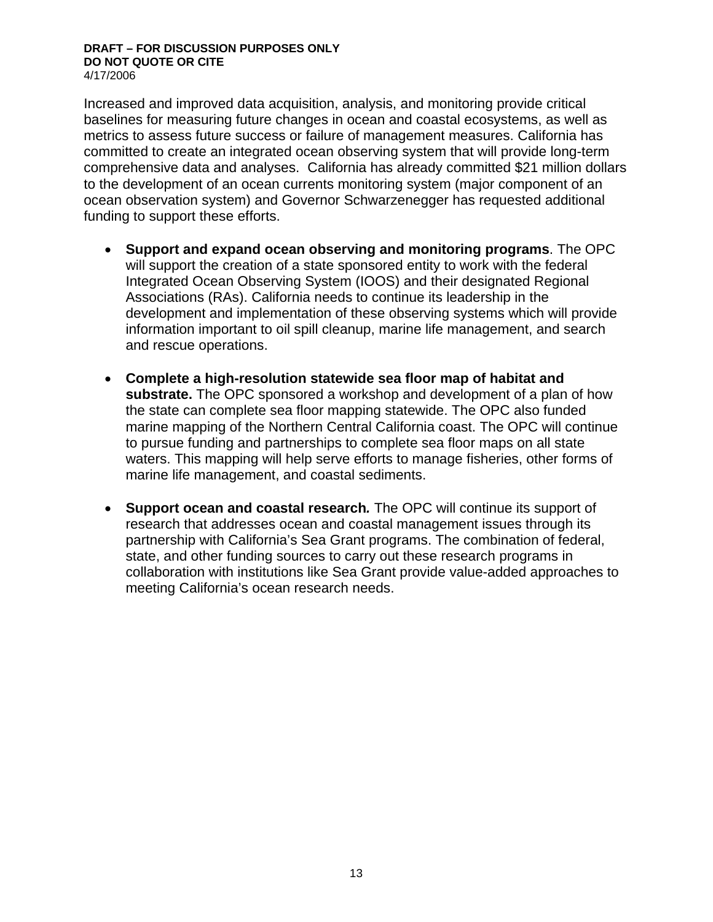Increased and improved data acquisition, analysis, and monitoring provide critical baselines for measuring future changes in ocean and coastal ecosystems, as well as metrics to assess future success or failure of management measures. California has committed to create an integrated ocean observing system that will provide long-term comprehensive data and analyses. California has already committed \$21 million dollars to the development of an ocean currents monitoring system (major component of an ocean observation system) and Governor Schwarzenegger has requested additional funding to support these efforts.

- **Support and expand ocean observing and monitoring programs**. The OPC will support the creation of a state sponsored entity to work with the federal Integrated Ocean Observing System (IOOS) and their designated Regional Associations (RAs). California needs to continue its leadership in the development and implementation of these observing systems which will provide information important to oil spill cleanup, marine life management, and search and rescue operations.
- **Complete a high-resolution statewide sea floor map of habitat and substrate.** The OPC sponsored a workshop and development of a plan of how the state can complete sea floor mapping statewide. The OPC also funded marine mapping of the Northern Central California coast. The OPC will continue to pursue funding and partnerships to complete sea floor maps on all state waters. This mapping will help serve efforts to manage fisheries, other forms of marine life management, and coastal sediments.
- **Support ocean and coastal research***.* The OPC will continue its support of research that addresses ocean and coastal management issues through its partnership with California's Sea Grant programs. The combination of federal, state, and other funding sources to carry out these research programs in collaboration with institutions like Sea Grant provide value-added approaches to meeting California's ocean research needs.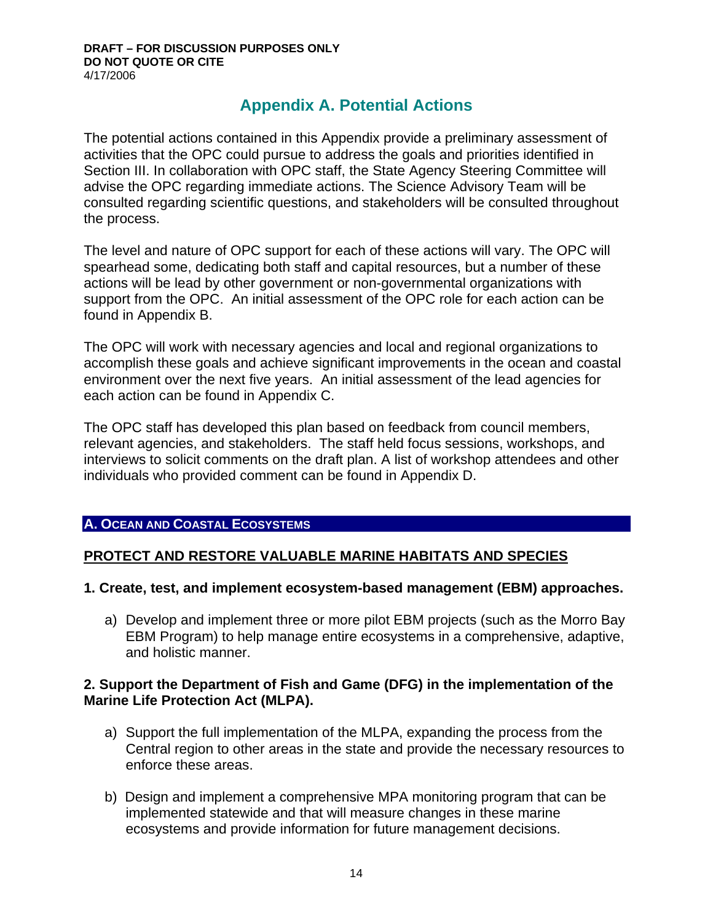# **Appendix A. Potential Actions**

The potential actions contained in this Appendix provide a preliminary assessment of activities that the OPC could pursue to address the goals and priorities identified in Section III. In collaboration with OPC staff, the State Agency Steering Committee will advise the OPC regarding immediate actions. The Science Advisory Team will be consulted regarding scientific questions, and stakeholders will be consulted throughout the process.

The level and nature of OPC support for each of these actions will vary. The OPC will spearhead some, dedicating both staff and capital resources, but a number of these actions will be lead by other government or non-governmental organizations with support from the OPC. An initial assessment of the OPC role for each action can be found in Appendix B.

The OPC will work with necessary agencies and local and regional organizations to accomplish these goals and achieve significant improvements in the ocean and coastal environment over the next five years. An initial assessment of the lead agencies for each action can be found in Appendix C.

The OPC staff has developed this plan based on feedback from council members, relevant agencies, and stakeholders. The staff held focus sessions, workshops, and interviews to solicit comments on the draft plan. A list of workshop attendees and other individuals who provided comment can be found in Appendix D.

## **A. OCEAN AND COASTAL ECOSYSTEMS**

## **PROTECT AND RESTORE VALUABLE MARINE HABITATS AND SPECIES**

## **1. Create, test, and implement ecosystem-based management (EBM) approaches.**

a) Develop and implement three or more pilot EBM projects (such as the Morro Bay EBM Program) to help manage entire ecosystems in a comprehensive, adaptive, and holistic manner.

## **2. Support the Department of Fish and Game (DFG) in the implementation of the Marine Life Protection Act (MLPA).**

- a) Support the full implementation of the MLPA, expanding the process from the Central region to other areas in the state and provide the necessary resources to enforce these areas.
- b) Design and implement a comprehensive MPA monitoring program that can be implemented statewide and that will measure changes in these marine ecosystems and provide information for future management decisions.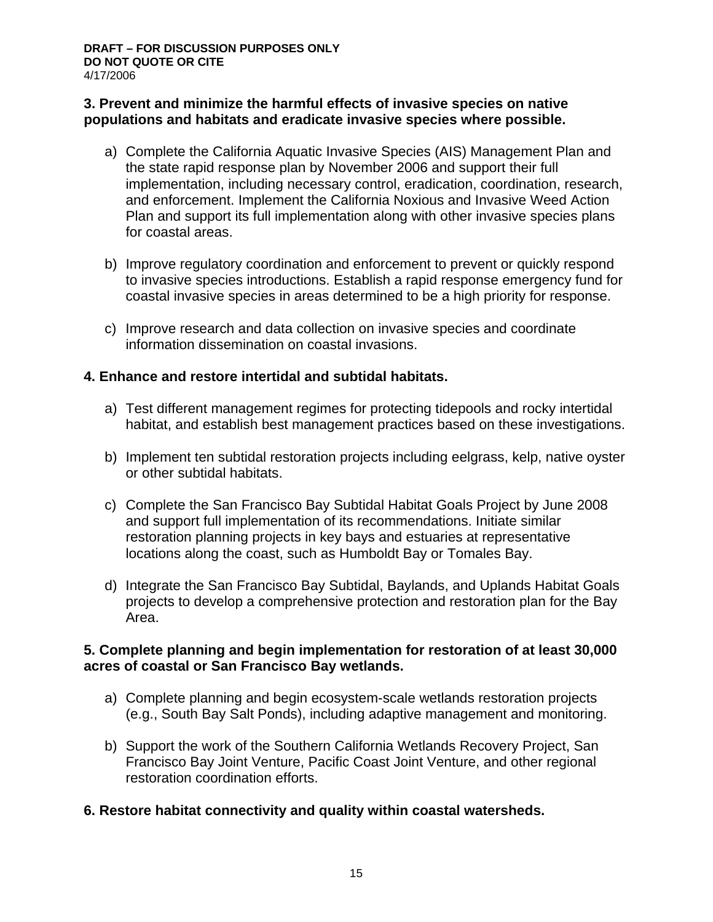## **3. Prevent and minimize the harmful effects of invasive species on native populations and habitats and eradicate invasive species where possible.**

- a) Complete the California Aquatic Invasive Species (AIS) Management Plan and the state rapid response plan by November 2006 and support their full implementation, including necessary control, eradication, coordination, research, and enforcement. Implement the California Noxious and Invasive Weed Action Plan and support its full implementation along with other invasive species plans for coastal areas.
- b) Improve regulatory coordination and enforcement to prevent or quickly respond to invasive species introductions. Establish a rapid response emergency fund for coastal invasive species in areas determined to be a high priority for response.
- c) Improve research and data collection on invasive species and coordinate information dissemination on coastal invasions.

## **4. Enhance and restore intertidal and subtidal habitats.**

- a) Test different management regimes for protecting tidepools and rocky intertidal habitat, and establish best management practices based on these investigations.
- b) Implement ten subtidal restoration projects including eelgrass, kelp, native oyster or other subtidal habitats.
- c) Complete the San Francisco Bay Subtidal Habitat Goals Project by June 2008 and support full implementation of its recommendations. Initiate similar restoration planning projects in key bays and estuaries at representative locations along the coast, such as Humboldt Bay or Tomales Bay.
- d) Integrate the San Francisco Bay Subtidal, Baylands, and Uplands Habitat Goals projects to develop a comprehensive protection and restoration plan for the Bay Area.

#### **5. Complete planning and begin implementation for restoration of at least 30,000 acres of coastal or San Francisco Bay wetlands.**

- a) Complete planning and begin ecosystem-scale wetlands restoration projects (e.g., South Bay Salt Ponds), including adaptive management and monitoring.
- b) Support the work of the Southern California Wetlands Recovery Project, San Francisco Bay Joint Venture, Pacific Coast Joint Venture, and other regional restoration coordination efforts.

## **6. Restore habitat connectivity and quality within coastal watersheds.**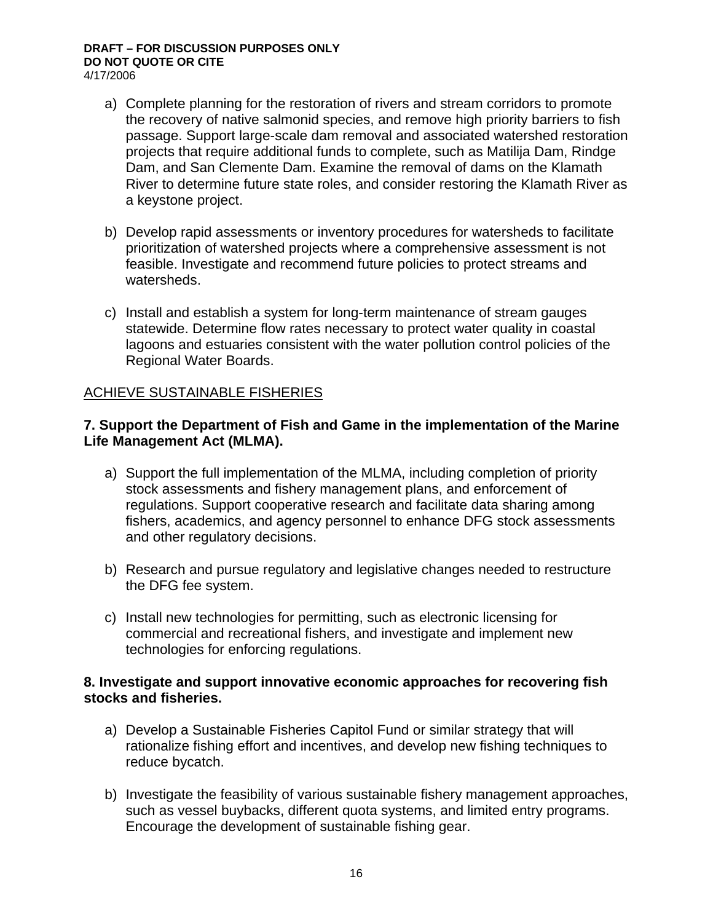- a) Complete planning for the restoration of rivers and stream corridors to promote the recovery of native salmonid species, and remove high priority barriers to fish passage. Support large-scale dam removal and associated watershed restoration projects that require additional funds to complete, such as Matilija Dam, Rindge Dam, and San Clemente Dam. Examine the removal of dams on the Klamath River to determine future state roles, and consider restoring the Klamath River as a keystone project.
- b) Develop rapid assessments or inventory procedures for watersheds to facilitate prioritization of watershed projects where a comprehensive assessment is not feasible. Investigate and recommend future policies to protect streams and watersheds.
- c) Install and establish a system for long-term maintenance of stream gauges statewide. Determine flow rates necessary to protect water quality in coastal lagoons and estuaries consistent with the water pollution control policies of the Regional Water Boards.

## ACHIEVE SUSTAINABLE FISHERIES

## **7. Support the Department of Fish and Game in the implementation of the Marine Life Management Act (MLMA).**

- a) Support the full implementation of the MLMA, including completion of priority stock assessments and fishery management plans, and enforcement of regulations. Support cooperative research and facilitate data sharing among fishers, academics, and agency personnel to enhance DFG stock assessments and other regulatory decisions.
- b) Research and pursue regulatory and legislative changes needed to restructure the DFG fee system.
- c) Install new technologies for permitting, such as electronic licensing for commercial and recreational fishers, and investigate and implement new technologies for enforcing regulations.

#### **8. Investigate and support innovative economic approaches for recovering fish stocks and fisheries.**

- a) Develop a Sustainable Fisheries Capitol Fund or similar strategy that will rationalize fishing effort and incentives, and develop new fishing techniques to reduce bycatch.
- b) Investigate the feasibility of various sustainable fishery management approaches, such as vessel buybacks, different quota systems, and limited entry programs. Encourage the development of sustainable fishing gear.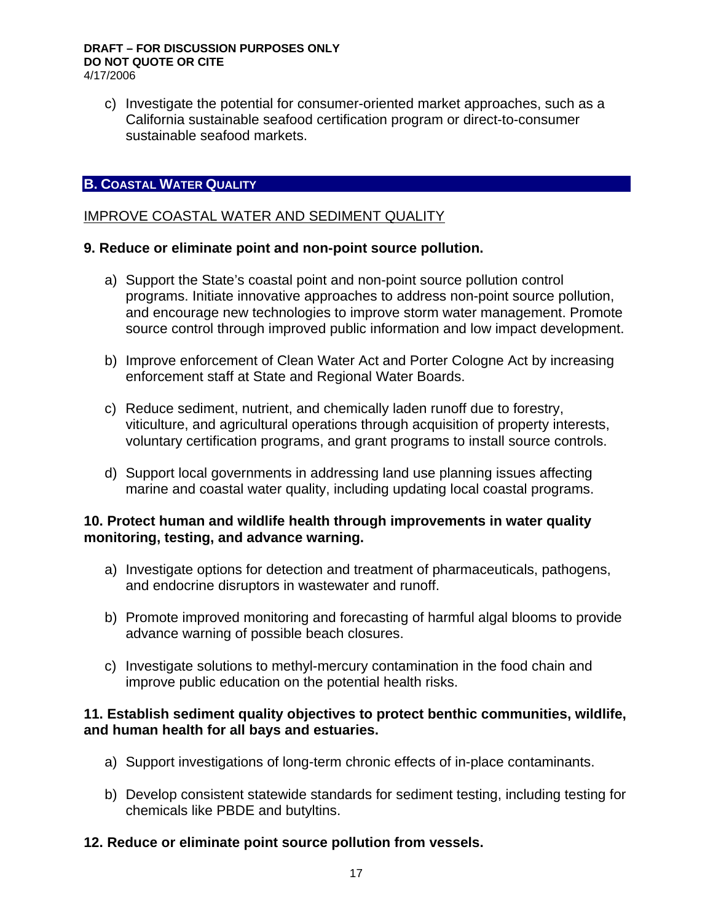c) Investigate the potential for consumer-oriented market approaches, such as a California sustainable seafood certification program or direct-to-consumer sustainable seafood markets.

## **B. COASTAL WATER QUALITY**

## IMPROVE COASTAL WATER AND SEDIMENT QUALITY

#### **9. Reduce or eliminate point and non-point source pollution.**

- a) Support the State's coastal point and non-point source pollution control programs. Initiate innovative approaches to address non-point source pollution, and encourage new technologies to improve storm water management. Promote source control through improved public information and low impact development.
- b) Improve enforcement of Clean Water Act and Porter Cologne Act by increasing enforcement staff at State and Regional Water Boards.
- c) Reduce sediment, nutrient, and chemically laden runoff due to forestry, viticulture, and agricultural operations through acquisition of property interests, voluntary certification programs, and grant programs to install source controls.
- d) Support local governments in addressing land use planning issues affecting marine and coastal water quality, including updating local coastal programs.

#### **10. Protect human and wildlife health through improvements in water quality monitoring, testing, and advance warning.**

- a) Investigate options for detection and treatment of pharmaceuticals, pathogens, and endocrine disruptors in wastewater and runoff.
- b) Promote improved monitoring and forecasting of harmful algal blooms to provide advance warning of possible beach closures.
- c) Investigate solutions to methyl-mercury contamination in the food chain and improve public education on the potential health risks.

## **11. Establish sediment quality objectives to protect benthic communities, wildlife, and human health for all bays and estuaries.**

- a) Support investigations of long-term chronic effects of in-place contaminants.
- b) Develop consistent statewide standards for sediment testing, including testing for chemicals like PBDE and butyltins.

## **12. Reduce or eliminate point source pollution from vessels.**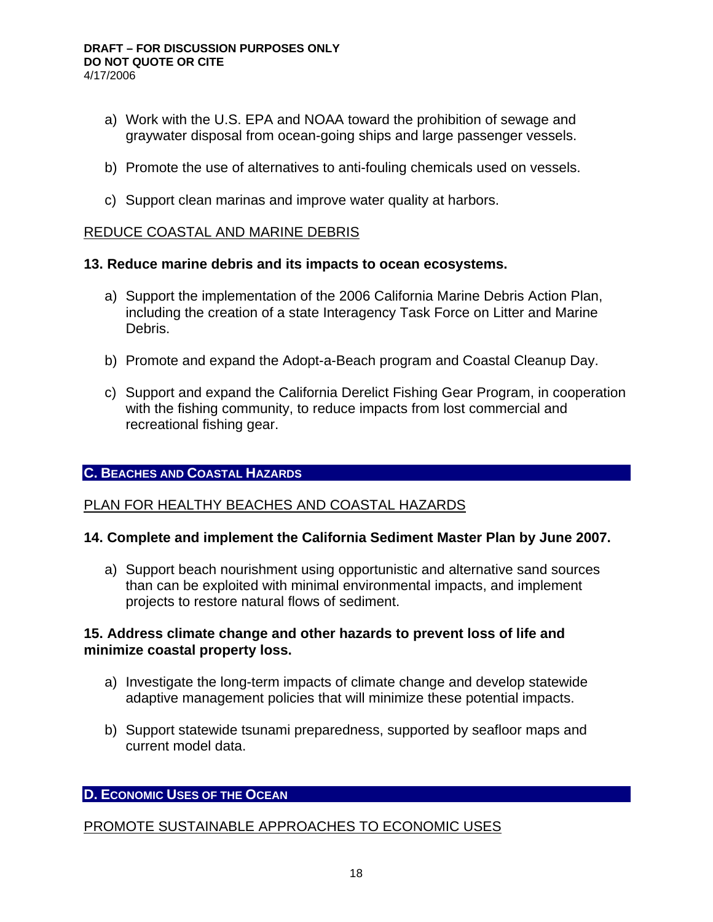- a) Work with the U.S. EPA and NOAA toward the prohibition of sewage and graywater disposal from ocean-going ships and large passenger vessels.
- b) Promote the use of alternatives to anti-fouling chemicals used on vessels.
- c) Support clean marinas and improve water quality at harbors.

## REDUCE COASTAL AND MARINE DEBRIS

## **13. Reduce marine debris and its impacts to ocean ecosystems.**

- a) Support the implementation of the 2006 California Marine Debris Action Plan, including the creation of a state Interagency Task Force on Litter and Marine Debris.
- b) Promote and expand the Adopt-a-Beach program and Coastal Cleanup Day.
- c) Support and expand the California Derelict Fishing Gear Program, in cooperation with the fishing community, to reduce impacts from lost commercial and recreational fishing gear.

## **C. BEACHES AND COASTAL HAZARDS**

## PLAN FOR HEALTHY BEACHES AND COASTAL HAZARDS

## **14. Complete and implement the California Sediment Master Plan by June 2007.**

a) Support beach nourishment using opportunistic and alternative sand sources than can be exploited with minimal environmental impacts, and implement projects to restore natural flows of sediment.

## **15. Address climate change and other hazards to prevent loss of life and minimize coastal property loss.**

- a) Investigate the long-term impacts of climate change and develop statewide adaptive management policies that will minimize these potential impacts.
- b) Support statewide tsunami preparedness, supported by seafloor maps and current model data.

## **D. ECONOMIC USES OF THE OCEAN**

## PROMOTE SUSTAINABLE APPROACHES TO ECONOMIC USES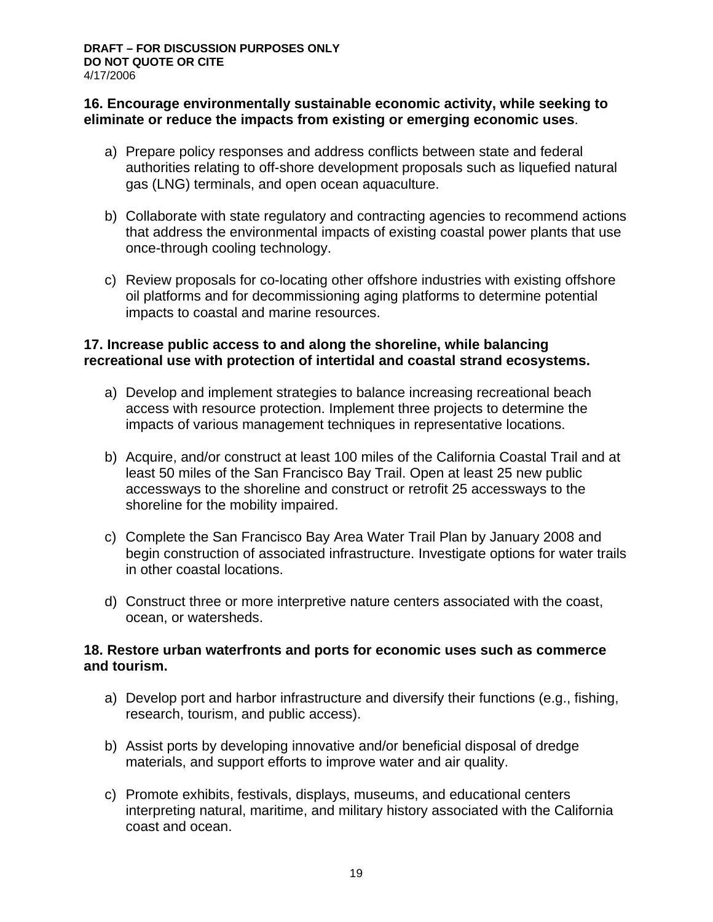## **16. Encourage environmentally sustainable economic activity, while seeking to eliminate or reduce the impacts from existing or emerging economic uses**.

- a) Prepare policy responses and address conflicts between state and federal authorities relating to off-shore development proposals such as liquefied natural gas (LNG) terminals, and open ocean aquaculture.
- b) Collaborate with state regulatory and contracting agencies to recommend actions that address the environmental impacts of existing coastal power plants that use once-through cooling technology.
- c) Review proposals for co-locating other offshore industries with existing offshore oil platforms and for decommissioning aging platforms to determine potential impacts to coastal and marine resources.

## **17. Increase public access to and along the shoreline, while balancing recreational use with protection of intertidal and coastal strand ecosystems.**

- a) Develop and implement strategies to balance increasing recreational beach access with resource protection. Implement three projects to determine the impacts of various management techniques in representative locations.
- b) Acquire, and/or construct at least 100 miles of the California Coastal Trail and at least 50 miles of the San Francisco Bay Trail. Open at least 25 new public accessways to the shoreline and construct or retrofit 25 accessways to the shoreline for the mobility impaired.
- c) Complete the San Francisco Bay Area Water Trail Plan by January 2008 and begin construction of associated infrastructure. Investigate options for water trails in other coastal locations.
- d) Construct three or more interpretive nature centers associated with the coast, ocean, or watersheds.

## **18. Restore urban waterfronts and ports for economic uses such as commerce and tourism.**

- a) Develop port and harbor infrastructure and diversify their functions (e.g., fishing, research, tourism, and public access).
- b) Assist ports by developing innovative and/or beneficial disposal of dredge materials, and support efforts to improve water and air quality.
- c) Promote exhibits, festivals, displays, museums, and educational centers interpreting natural, maritime, and military history associated with the California coast and ocean.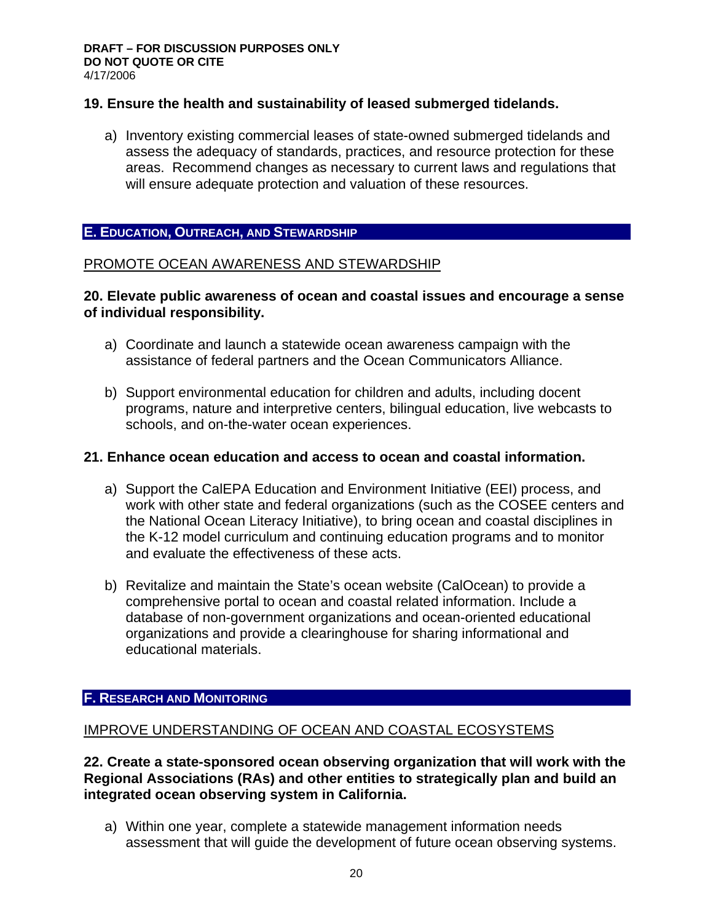## **19. Ensure the health and sustainability of leased submerged tidelands.**

a) Inventory existing commercial leases of state-owned submerged tidelands and assess the adequacy of standards, practices, and resource protection for these areas. Recommend changes as necessary to current laws and regulations that will ensure adequate protection and valuation of these resources.

#### **E. EDUCATION, OUTREACH, AND STEWARDSHIP**

## PROMOTE OCEAN AWARENESS AND STEWARDSHIP

#### **20. Elevate public awareness of ocean and coastal issues and encourage a sense of individual responsibility.**

- a) Coordinate and launch a statewide ocean awareness campaign with the assistance of federal partners and the Ocean Communicators Alliance.
- b) Support environmental education for children and adults, including docent programs, nature and interpretive centers, bilingual education, live webcasts to schools, and on-the-water ocean experiences.

#### **21. Enhance ocean education and access to ocean and coastal information.**

- a) Support the CalEPA Education and Environment Initiative (EEI) process, and work with other state and federal organizations (such as the COSEE centers and the National Ocean Literacy Initiative), to bring ocean and coastal disciplines in the K-12 model curriculum and continuing education programs and to monitor and evaluate the effectiveness of these acts.
- b) Revitalize and maintain the State's ocean website (CalOcean) to provide a comprehensive portal to ocean and coastal related information. Include a database of non-government organizations and ocean-oriented educational organizations and provide a clearinghouse for sharing informational and educational materials.

#### **F. RESEARCH AND MONITORING**

#### IMPROVE UNDERSTANDING OF OCEAN AND COASTAL ECOSYSTEMS

**22. Create a state-sponsored ocean observing organization that will work with the Regional Associations (RAs) and other entities to strategically plan and build an integrated ocean observing system in California.** 

a) Within one year, complete a statewide management information needs assessment that will guide the development of future ocean observing systems.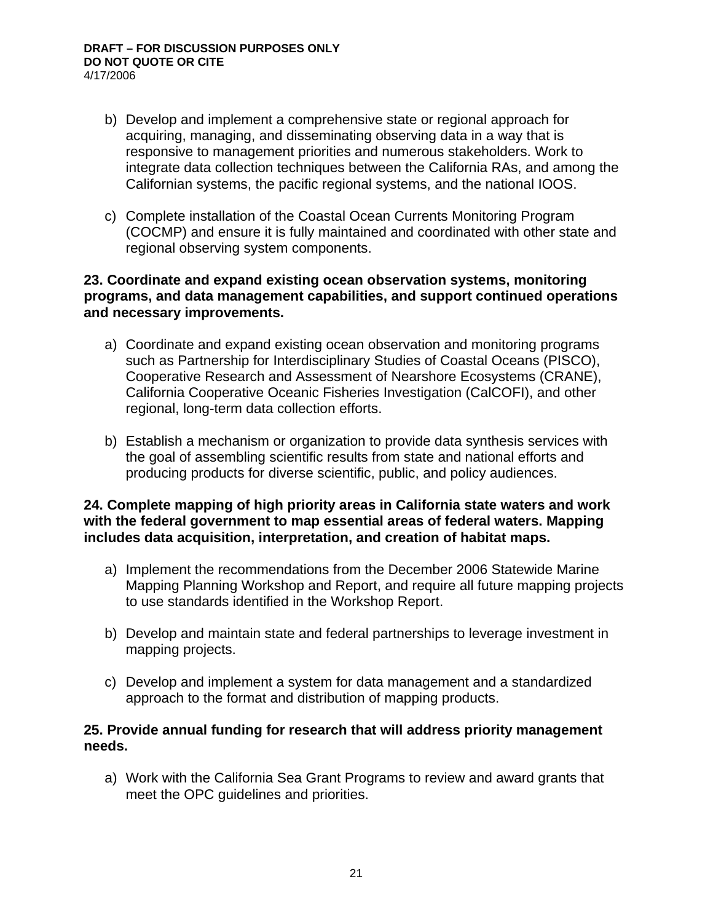- b) Develop and implement a comprehensive state or regional approach for acquiring, managing, and disseminating observing data in a way that is responsive to management priorities and numerous stakeholders. Work to integrate data collection techniques between the California RAs, and among the Californian systems, the pacific regional systems, and the national IOOS.
- c) Complete installation of the Coastal Ocean Currents Monitoring Program (COCMP) and ensure it is fully maintained and coordinated with other state and regional observing system components.

#### **23. Coordinate and expand existing ocean observation systems, monitoring programs, and data management capabilities, and support continued operations and necessary improvements.**

- a) Coordinate and expand existing ocean observation and monitoring programs such as Partnership for Interdisciplinary Studies of Coastal Oceans (PISCO), Cooperative Research and Assessment of Nearshore Ecosystems (CRANE), California Cooperative Oceanic Fisheries Investigation (CalCOFI), and other regional, long-term data collection efforts.
- b) Establish a mechanism or organization to provide data synthesis services with the goal of assembling scientific results from state and national efforts and producing products for diverse scientific, public, and policy audiences.

## **24. Complete mapping of high priority areas in California state waters and work with the federal government to map essential areas of federal waters. Mapping includes data acquisition, interpretation, and creation of habitat maps.**

- a) Implement the recommendations from the December 2006 Statewide Marine Mapping Planning Workshop and Report, and require all future mapping projects to use standards identified in the Workshop Report.
- b) Develop and maintain state and federal partnerships to leverage investment in mapping projects.
- c) Develop and implement a system for data management and a standardized approach to the format and distribution of mapping products.

## **25. Provide annual funding for research that will address priority management needs.**

a) Work with the California Sea Grant Programs to review and award grants that meet the OPC guidelines and priorities.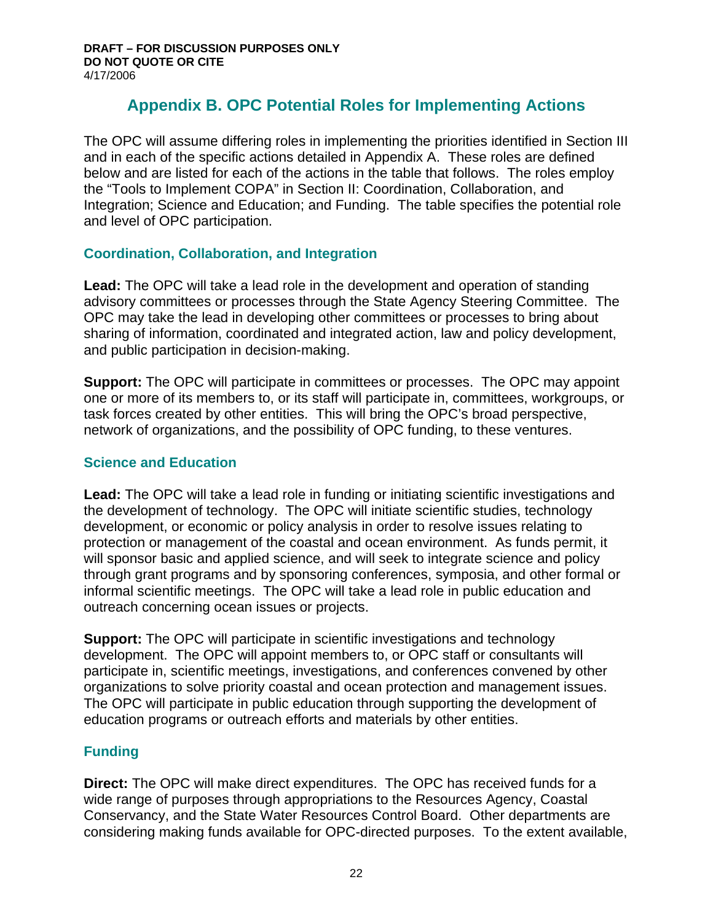# **Appendix B. OPC Potential Roles for Implementing Actions**

The OPC will assume differing roles in implementing the priorities identified in Section III and in each of the specific actions detailed in Appendix A. These roles are defined below and are listed for each of the actions in the table that follows. The roles employ the "Tools to Implement COPA" in Section II: Coordination, Collaboration, and Integration; Science and Education; and Funding. The table specifies the potential role and level of OPC participation.

## **Coordination, Collaboration, and Integration**

**Lead:** The OPC will take a lead role in the development and operation of standing advisory committees or processes through the State Agency Steering Committee. The OPC may take the lead in developing other committees or processes to bring about sharing of information, coordinated and integrated action, law and policy development, and public participation in decision-making.

**Support:** The OPC will participate in committees or processes. The OPC may appoint one or more of its members to, or its staff will participate in, committees, workgroups, or task forces created by other entities. This will bring the OPC's broad perspective, network of organizations, and the possibility of OPC funding, to these ventures.

## **Science and Education**

**Lead:** The OPC will take a lead role in funding or initiating scientific investigations and the development of technology. The OPC will initiate scientific studies, technology development, or economic or policy analysis in order to resolve issues relating to protection or management of the coastal and ocean environment. As funds permit, it will sponsor basic and applied science, and will seek to integrate science and policy through grant programs and by sponsoring conferences, symposia, and other formal or informal scientific meetings. The OPC will take a lead role in public education and outreach concerning ocean issues or projects.

**Support:** The OPC will participate in scientific investigations and technology development. The OPC will appoint members to, or OPC staff or consultants will participate in, scientific meetings, investigations, and conferences convened by other organizations to solve priority coastal and ocean protection and management issues. The OPC will participate in public education through supporting the development of education programs or outreach efforts and materials by other entities.

## **Funding**

**Direct:** The OPC will make direct expenditures. The OPC has received funds for a wide range of purposes through appropriations to the Resources Agency, Coastal Conservancy, and the State Water Resources Control Board. Other departments are considering making funds available for OPC-directed purposes. To the extent available,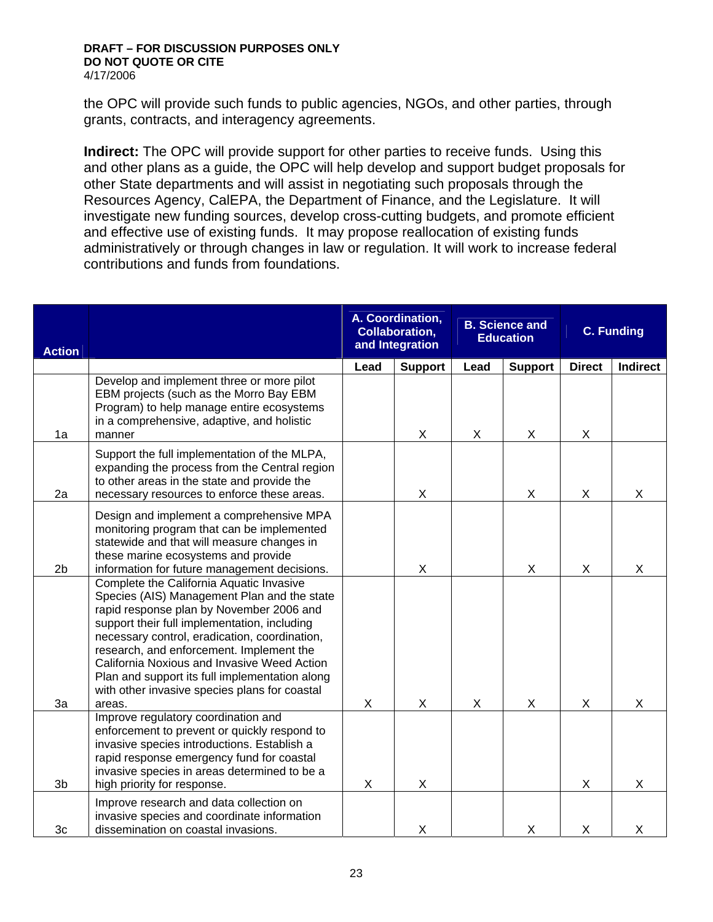the OPC will provide such funds to public agencies, NGOs, and other parties, through grants, contracts, and interagency agreements.

**Indirect:** The OPC will provide support for other parties to receive funds. Using this and other plans as a guide, the OPC will help develop and support budget proposals for other State departments and will assist in negotiating such proposals through the Resources Agency, CalEPA, the Department of Finance, and the Legislature. It will investigate new funding sources, develop cross-cutting budgets, and promote efficient and effective use of existing funds. It may propose reallocation of existing funds administratively or through changes in law or regulation. It will work to increase federal contributions and funds from foundations.

| <b>Action</b>  |                                                                                                                                                                                                                                                                                                                                                                                                                                              |      | A. Coordination,<br>Collaboration,<br>and Integration |      | <b>B. Science and</b><br><b>Education</b> |               | <b>C. Funding</b> |
|----------------|----------------------------------------------------------------------------------------------------------------------------------------------------------------------------------------------------------------------------------------------------------------------------------------------------------------------------------------------------------------------------------------------------------------------------------------------|------|-------------------------------------------------------|------|-------------------------------------------|---------------|-------------------|
|                |                                                                                                                                                                                                                                                                                                                                                                                                                                              | Lead | <b>Support</b>                                        | Lead | <b>Support</b>                            | <b>Direct</b> | Indirect          |
| 1a             | Develop and implement three or more pilot<br>EBM projects (such as the Morro Bay EBM<br>Program) to help manage entire ecosystems<br>in a comprehensive, adaptive, and holistic<br>manner                                                                                                                                                                                                                                                    |      | X                                                     | X    | X                                         | X             |                   |
| 2a             | Support the full implementation of the MLPA,<br>expanding the process from the Central region<br>to other areas in the state and provide the<br>necessary resources to enforce these areas.                                                                                                                                                                                                                                                  |      | Χ                                                     |      | X                                         | X             | X                 |
| 2 <sub>b</sub> | Design and implement a comprehensive MPA<br>monitoring program that can be implemented<br>statewide and that will measure changes in<br>these marine ecosystems and provide<br>information for future management decisions.                                                                                                                                                                                                                  |      | X                                                     |      | $\mathsf X$                               | X             | X                 |
| 3a             | Complete the California Aquatic Invasive<br>Species (AIS) Management Plan and the state<br>rapid response plan by November 2006 and<br>support their full implementation, including<br>necessary control, eradication, coordination,<br>research, and enforcement. Implement the<br>California Noxious and Invasive Weed Action<br>Plan and support its full implementation along<br>with other invasive species plans for coastal<br>areas. | X    | X                                                     | X    | X                                         | X             | X                 |
| 3 <sub>b</sub> | Improve regulatory coordination and<br>enforcement to prevent or quickly respond to<br>invasive species introductions. Establish a<br>rapid response emergency fund for coastal<br>invasive species in areas determined to be a<br>high priority for response.                                                                                                                                                                               | X    | X                                                     |      |                                           | X             | X                 |
| 3c             | Improve research and data collection on<br>invasive species and coordinate information<br>dissemination on coastal invasions.                                                                                                                                                                                                                                                                                                                |      | Χ                                                     |      | X                                         | X             | X                 |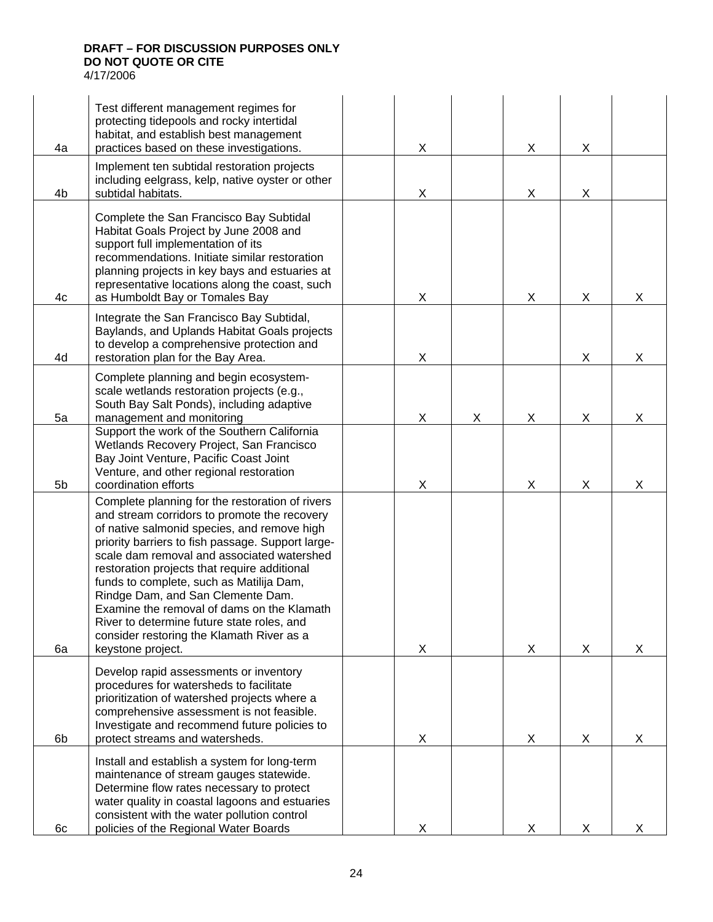| 4a             | Test different management regimes for<br>protecting tidepools and rocky intertidal<br>habitat, and establish best management<br>practices based on these investigations.                                                                                                                                                                                                                                                                                                                                                                         | Χ |   | X | X |   |
|----------------|--------------------------------------------------------------------------------------------------------------------------------------------------------------------------------------------------------------------------------------------------------------------------------------------------------------------------------------------------------------------------------------------------------------------------------------------------------------------------------------------------------------------------------------------------|---|---|---|---|---|
| 4b             | Implement ten subtidal restoration projects<br>including eelgrass, kelp, native oyster or other<br>subtidal habitats.                                                                                                                                                                                                                                                                                                                                                                                                                            | X |   | X | X |   |
| 4c             | Complete the San Francisco Bay Subtidal<br>Habitat Goals Project by June 2008 and<br>support full implementation of its<br>recommendations. Initiate similar restoration<br>planning projects in key bays and estuaries at<br>representative locations along the coast, such<br>as Humboldt Bay or Tomales Bay                                                                                                                                                                                                                                   | Χ |   | X | X | X |
| 4d             | Integrate the San Francisco Bay Subtidal,<br>Baylands, and Uplands Habitat Goals projects<br>to develop a comprehensive protection and<br>restoration plan for the Bay Area.                                                                                                                                                                                                                                                                                                                                                                     | Χ |   |   | X | X |
| 5a             | Complete planning and begin ecosystem-<br>scale wetlands restoration projects (e.g.,<br>South Bay Salt Ponds), including adaptive<br>management and monitoring                                                                                                                                                                                                                                                                                                                                                                                   | X | X | X | X | X |
| 5 <sub>b</sub> | Support the work of the Southern California<br>Wetlands Recovery Project, San Francisco<br>Bay Joint Venture, Pacific Coast Joint<br>Venture, and other regional restoration<br>coordination efforts                                                                                                                                                                                                                                                                                                                                             | Χ |   | X | X | X |
| 6a             | Complete planning for the restoration of rivers<br>and stream corridors to promote the recovery<br>of native salmonid species, and remove high<br>priority barriers to fish passage. Support large-<br>scale dam removal and associated watershed<br>restoration projects that require additional<br>funds to complete, such as Matilija Dam,<br>Rindge Dam, and San Clemente Dam.<br>Examine the removal of dams on the Klamath<br>River to determine future state roles, and<br>consider restoring the Klamath River as a<br>keystone project. | X |   | X | X | X |
| 6b             | Develop rapid assessments or inventory<br>procedures for watersheds to facilitate<br>prioritization of watershed projects where a<br>comprehensive assessment is not feasible.<br>Investigate and recommend future policies to<br>protect streams and watersheds.                                                                                                                                                                                                                                                                                | X |   | X | X | X |
| 6с             | Install and establish a system for long-term<br>maintenance of stream gauges statewide.<br>Determine flow rates necessary to protect<br>water quality in coastal lagoons and estuaries<br>consistent with the water pollution control<br>policies of the Regional Water Boards                                                                                                                                                                                                                                                                   | X |   | X | X | x |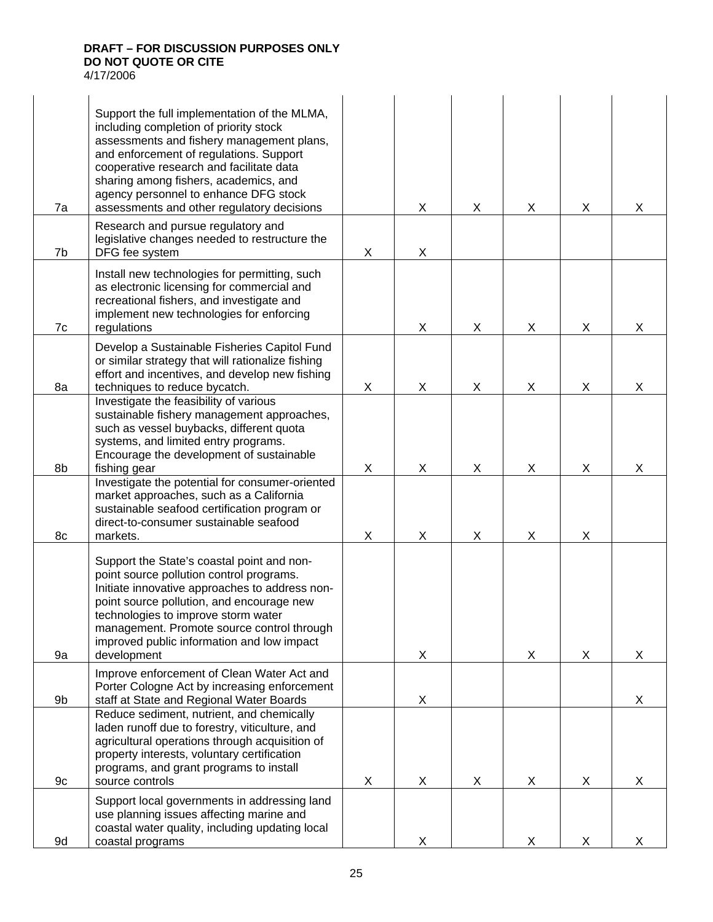| 7a | Support the full implementation of the MLMA,<br>including completion of priority stock<br>assessments and fishery management plans,<br>and enforcement of regulations. Support<br>cooperative research and facilitate data<br>sharing among fishers, academics, and<br>agency personnel to enhance DFG stock<br>assessments and other regulatory decisions |   | X | X | X | X              | X |
|----|------------------------------------------------------------------------------------------------------------------------------------------------------------------------------------------------------------------------------------------------------------------------------------------------------------------------------------------------------------|---|---|---|---|----------------|---|
| 7b | Research and pursue regulatory and<br>legislative changes needed to restructure the<br>DFG fee system                                                                                                                                                                                                                                                      | X | X |   |   |                |   |
| 7c | Install new technologies for permitting, such<br>as electronic licensing for commercial and<br>recreational fishers, and investigate and<br>implement new technologies for enforcing<br>regulations                                                                                                                                                        |   | X | X | X | $\pmb{\times}$ | X |
| 8a | Develop a Sustainable Fisheries Capitol Fund<br>or similar strategy that will rationalize fishing<br>effort and incentives, and develop new fishing<br>techniques to reduce bycatch.                                                                                                                                                                       | X | X | X | X | X              | X |
| 8b | Investigate the feasibility of various<br>sustainable fishery management approaches,<br>such as vessel buybacks, different quota<br>systems, and limited entry programs.<br>Encourage the development of sustainable<br>fishing gear                                                                                                                       | X | X | X | X | X              | X |
| 8c | Investigate the potential for consumer-oriented<br>market approaches, such as a California<br>sustainable seafood certification program or<br>direct-to-consumer sustainable seafood<br>markets.                                                                                                                                                           | X | X | X | X | $\pmb{\times}$ |   |
| 9a | Support the State's coastal point and non-<br>point source pollution control programs.<br>Initiate innovative approaches to address non-<br>point source pollution, and encourage new<br>technologies to improve storm water<br>management. Promote source control through<br>improved public information and low impact<br>development                    |   | X |   | X | X              | X |
| 9b | Improve enforcement of Clean Water Act and<br>Porter Cologne Act by increasing enforcement<br>staff at State and Regional Water Boards                                                                                                                                                                                                                     |   | X |   |   |                | X |
| 9c | Reduce sediment, nutrient, and chemically<br>laden runoff due to forestry, viticulture, and<br>agricultural operations through acquisition of<br>property interests, voluntary certification<br>programs, and grant programs to install<br>source controls                                                                                                 | X | X | X | X | X              | X |
| 9d | Support local governments in addressing land<br>use planning issues affecting marine and<br>coastal water quality, including updating local<br>coastal programs                                                                                                                                                                                            |   | X |   | X | X              | X |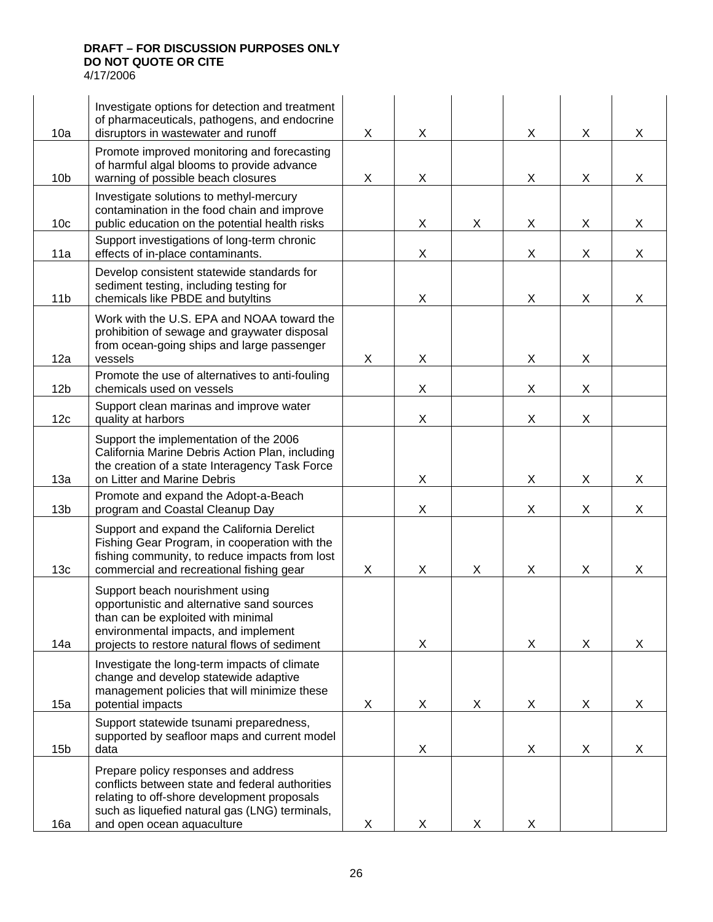|                 | Investigate options for detection and treatment<br>of pharmaceuticals, pathogens, and endocrine                                                                                                                        |   |   |   |   |   |                           |
|-----------------|------------------------------------------------------------------------------------------------------------------------------------------------------------------------------------------------------------------------|---|---|---|---|---|---------------------------|
| 10a             | disruptors in wastewater and runoff                                                                                                                                                                                    | X | X |   | X | X | X                         |
| 10 <sub>b</sub> | Promote improved monitoring and forecasting<br>of harmful algal blooms to provide advance<br>warning of possible beach closures                                                                                        | X | X |   | X | X | X                         |
| 10 <sub>c</sub> | Investigate solutions to methyl-mercury<br>contamination in the food chain and improve<br>public education on the potential health risks                                                                               |   | X | X | X | X | X                         |
| 11a             | Support investigations of long-term chronic<br>effects of in-place contaminants.                                                                                                                                       |   | X |   | X | X | $\boldsymbol{\mathsf{X}}$ |
| 11 <sub>b</sub> | Develop consistent statewide standards for<br>sediment testing, including testing for<br>chemicals like PBDE and butyltins                                                                                             |   | X |   | X | X | X                         |
| 12a             | Work with the U.S. EPA and NOAA toward the<br>prohibition of sewage and graywater disposal<br>from ocean-going ships and large passenger<br>vessels                                                                    | X | X |   | X | X |                           |
| 12 <sub>b</sub> | Promote the use of alternatives to anti-fouling<br>chemicals used on vessels                                                                                                                                           |   | X |   | X | X |                           |
| 12c             | Support clean marinas and improve water<br>quality at harbors                                                                                                                                                          |   | X |   | X | X |                           |
| 13a             | Support the implementation of the 2006<br>California Marine Debris Action Plan, including<br>the creation of a state Interagency Task Force<br>on Litter and Marine Debris                                             |   | X |   | X | X | X                         |
| 13 <sub>b</sub> | Promote and expand the Adopt-a-Beach<br>program and Coastal Cleanup Day                                                                                                                                                |   | X |   | X | X | X                         |
| 13 <sub>c</sub> | Support and expand the California Derelict<br>Fishing Gear Program, in cooperation with the<br>fishing community, to reduce impacts from lost<br>commercial and recreational fishing gear                              | X | X | X | X | X | X                         |
| 14a             | Support beach nourishment using<br>opportunistic and alternative sand sources<br>than can be exploited with minimal<br>environmental impacts, and implement<br>projects to restore natural flows of sediment           |   | X |   | X | X | X                         |
| 15a             | Investigate the long-term impacts of climate<br>change and develop statewide adaptive<br>management policies that will minimize these<br>potential impacts                                                             | X | X | X | X | X | X                         |
| 15 <sub>b</sub> | Support statewide tsunami preparedness,<br>supported by seafloor maps and current model<br>data                                                                                                                        |   | X |   | X | X | X                         |
| 16a             | Prepare policy responses and address<br>conflicts between state and federal authorities<br>relating to off-shore development proposals<br>such as liquefied natural gas (LNG) terminals,<br>and open ocean aquaculture | X | X | X | X |   |                           |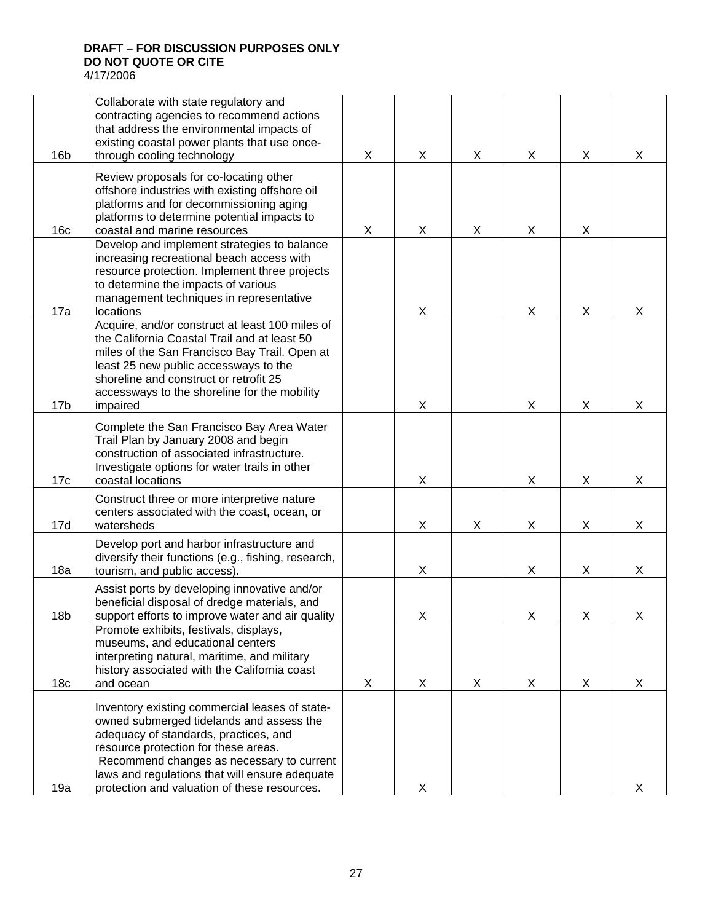16b Collaborate with state regulatory and contracting agencies to recommend actions that address the environmental impacts of existing coastal power plants that use oncethrough cooling technology X X X X X X 16c Review proposals for co-locating other offshore industries with existing offshore oil platforms and for decommissioning aging platforms to determine potential impacts to coastal and marine resources X X X X X 17a Develop and implement strategies to balance increasing recreational beach access with resource protection. Implement three projects to determine the impacts of various management techniques in representative locations X X X X 17b Acquire, and/or construct at least 100 miles of the California Coastal Trail and at least 50 miles of the San Francisco Bay Trail. Open at least 25 new public accessways to the shoreline and construct or retrofit 25 accessways to the shoreline for the mobility impaired  $\qquad \qquad \vert \qquad \vert \qquad \vert \qquad \chi \qquad \vert \qquad \chi \qquad \vert \qquad \chi \qquad \vert \qquad \chi$ 17c Complete the San Francisco Bay Area Water Trail Plan by January 2008 and begin construction of associated infrastructure. Investigate options for water trails in other coastal locations X X X X 17d Construct three or more interpretive nature centers associated with the coast, ocean, or watersheds X X X X X 18a Develop port and harbor infrastructure and diversify their functions (e.g., fishing, research, tourism, and public access). X X X X 18b Assist ports by developing innovative and/or beneficial disposal of dredge materials, and support efforts to improve water and air quality  $\begin{vmatrix} x \\ y \end{vmatrix}$  X  $\begin{vmatrix} x \\ x \end{vmatrix}$  X  $\begin{vmatrix} x \\ x \end{vmatrix}$  X 18c Promote exhibits, festivals, displays, museums, and educational centers interpreting natural, maritime, and military history associated with the California coast and ocean X X X X X X 19a Inventory existing commercial leases of stateowned submerged tidelands and assess the adequacy of standards, practices, and resource protection for these areas. Recommend changes as necessary to current laws and regulations that will ensure adequate protection and valuation of these resources.  $\begin{vmatrix} x \\ y \end{vmatrix}$  x  $\begin{vmatrix} x \\ y \end{vmatrix}$  x  $\begin{vmatrix} x \\ y \end{vmatrix}$  x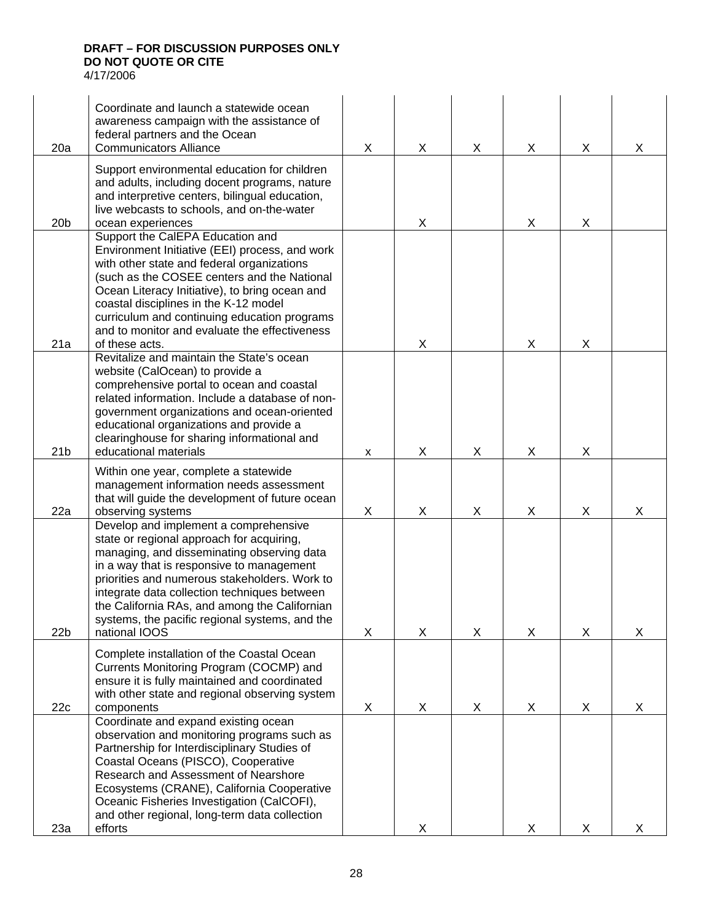| 20a             | Coordinate and launch a statewide ocean<br>awareness campaign with the assistance of<br>federal partners and the Ocean<br><b>Communicators Alliance</b>                                                                                                                                                                                                                                            | X | X | X | X. | X | X |
|-----------------|----------------------------------------------------------------------------------------------------------------------------------------------------------------------------------------------------------------------------------------------------------------------------------------------------------------------------------------------------------------------------------------------------|---|---|---|----|---|---|
| 20 <sub>b</sub> | Support environmental education for children<br>and adults, including docent programs, nature<br>and interpretive centers, bilingual education,<br>live webcasts to schools, and on-the-water<br>ocean experiences                                                                                                                                                                                 |   | X |   | X  | X |   |
| 21a             | Support the CalEPA Education and<br>Environment Initiative (EEI) process, and work<br>with other state and federal organizations<br>(such as the COSEE centers and the National<br>Ocean Literacy Initiative), to bring ocean and<br>coastal disciplines in the K-12 model<br>curriculum and continuing education programs<br>and to monitor and evaluate the effectiveness<br>of these acts.      |   | X |   | X  | X |   |
| 21 <sub>b</sub> | Revitalize and maintain the State's ocean<br>website (CalOcean) to provide a<br>comprehensive portal to ocean and coastal<br>related information. Include a database of non-<br>government organizations and ocean-oriented<br>educational organizations and provide a<br>clearinghouse for sharing informational and<br>educational materials                                                     | X | X | X | X  | X |   |
| 22a             | Within one year, complete a statewide<br>management information needs assessment<br>that will guide the development of future ocean<br>observing systems                                                                                                                                                                                                                                           | X | X | X | X  | X | X |
| 22 <sub>b</sub> | Develop and implement a comprehensive<br>state or regional approach for acquiring,<br>managing, and disseminating observing data<br>in a way that is responsive to management<br>priorities and numerous stakeholders. Work to<br>integrate data collection techniques between<br>the California RAs, and among the Californian<br>systems, the pacific regional systems, and the<br>national IOOS | X | X | X | X  | X | X |
| 22c             | Complete installation of the Coastal Ocean<br>Currents Monitoring Program (COCMP) and<br>ensure it is fully maintained and coordinated<br>with other state and regional observing system<br>components                                                                                                                                                                                             | X | X | X | X  | X | X |
| 23a             | Coordinate and expand existing ocean<br>observation and monitoring programs such as<br>Partnership for Interdisciplinary Studies of<br>Coastal Oceans (PISCO), Cooperative<br>Research and Assessment of Nearshore<br>Ecosystems (CRANE), California Cooperative<br>Oceanic Fisheries Investigation (CalCOFI),<br>and other regional, long-term data collection<br>efforts                         |   | X |   | X  | X | X |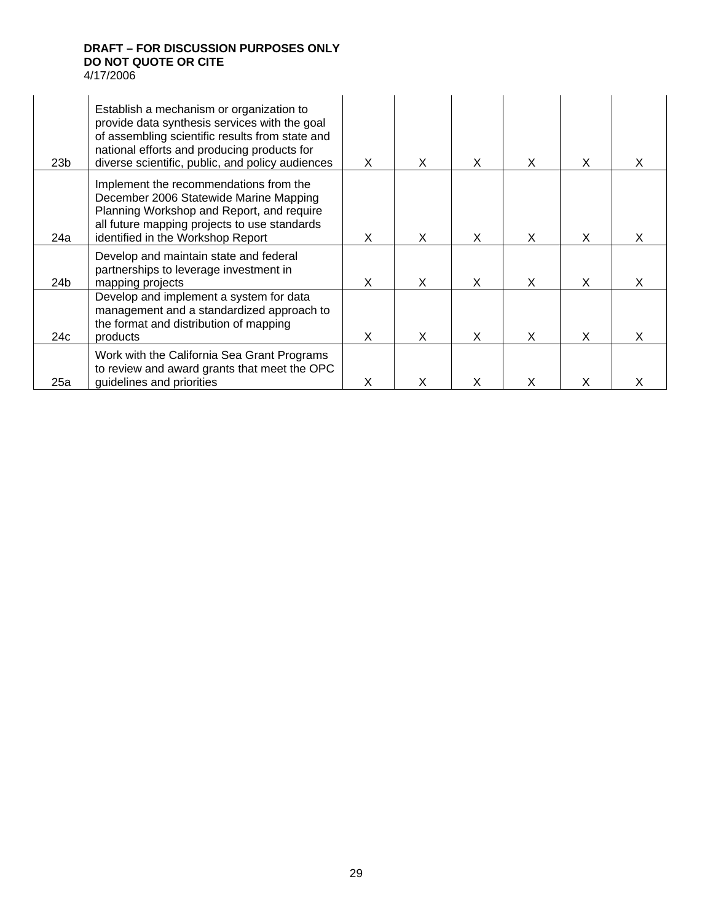| 23 <sub>b</sub> | Establish a mechanism or organization to<br>provide data synthesis services with the goal<br>of assembling scientific results from state and<br>national efforts and producing products for<br>diverse scientific, public, and policy audiences | X | X | X | X | X |   |
|-----------------|-------------------------------------------------------------------------------------------------------------------------------------------------------------------------------------------------------------------------------------------------|---|---|---|---|---|---|
| 24a             | Implement the recommendations from the<br>December 2006 Statewide Marine Mapping<br>Planning Workshop and Report, and require<br>all future mapping projects to use standards<br>identified in the Workshop Report                              | X | X | X | X | X |   |
| 24 <sub>b</sub> | Develop and maintain state and federal<br>partnerships to leverage investment in<br>mapping projects                                                                                                                                            | X | X | X | X | X | X |
| 24c             | Develop and implement a system for data<br>management and a standardized approach to<br>the format and distribution of mapping<br>products                                                                                                      | X | X | X | X | X | X |
| 25a             | Work with the California Sea Grant Programs<br>to review and award grants that meet the OPC<br>guidelines and priorities                                                                                                                        | X | x | x |   |   |   |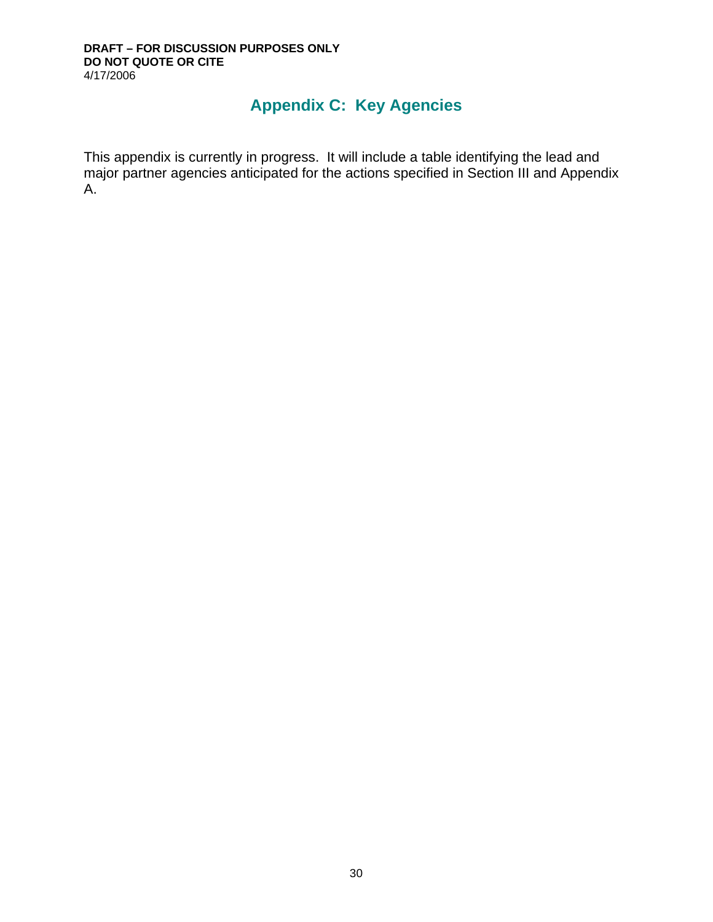# **Appendix C: Key Agencies**

This appendix is currently in progress. It will include a table identifying the lead and major partner agencies anticipated for the actions specified in Section III and Appendix A.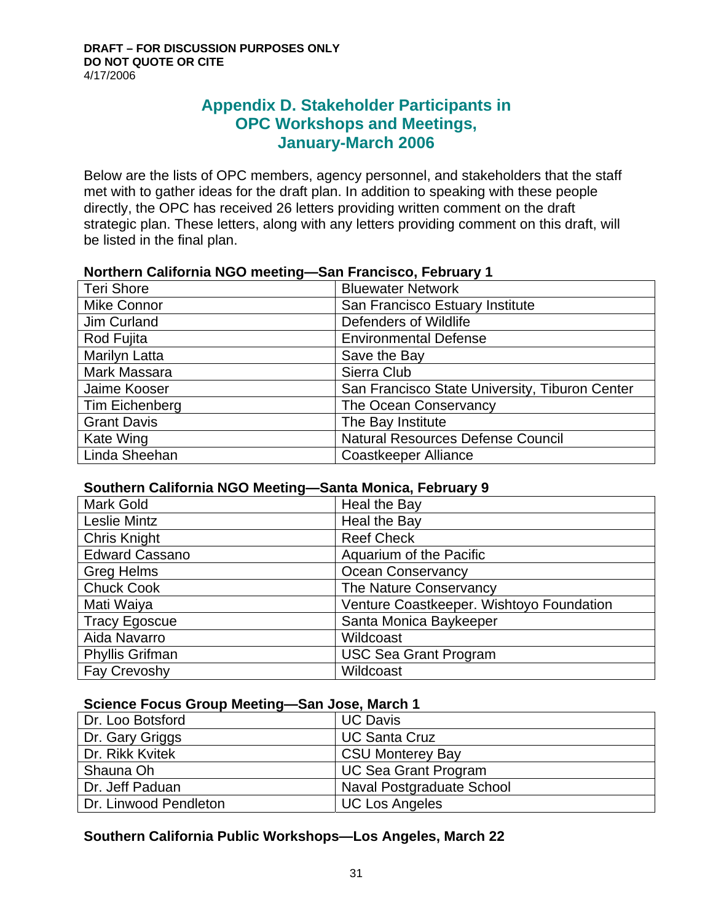# **Appendix D. Stakeholder Participants in OPC Workshops and Meetings, January-March 2006**

Below are the lists of OPC members, agency personnel, and stakeholders that the staff met with to gather ideas for the draft plan. In addition to speaking with these people directly, the OPC has received 26 letters providing written comment on the draft strategic plan. These letters, along with any letters providing comment on this draft, will be listed in the final plan.

| <u>HULLIUM QUINONING NUO MICCINIQ</u> | <b>Uall HallVisco, I Civiliary T</b>           |
|---------------------------------------|------------------------------------------------|
| <b>Teri Shore</b>                     | <b>Bluewater Network</b>                       |
| <b>Mike Connor</b>                    | San Francisco Estuary Institute                |
| Jim Curland                           | Defenders of Wildlife                          |
| Rod Fujita                            | <b>Environmental Defense</b>                   |
| <b>Marilyn Latta</b>                  | Save the Bay                                   |
| Mark Massara                          | Sierra Club                                    |
| Jaime Kooser                          | San Francisco State University, Tiburon Center |
| Tim Eichenberg                        | The Ocean Conservancy                          |
| <b>Grant Davis</b>                    | The Bay Institute                              |
| Kate Wing                             | <b>Natural Resources Defense Council</b>       |
| Linda Sheehan                         | Coastkeeper Alliance                           |

## **Northern California NGO meeting—San Francisco, February 1**

## **Southern California NGO Meeting—Santa Monica, February 9**

| <b>Mark Gold</b>       | Heal the Bay                             |
|------------------------|------------------------------------------|
| <b>Leslie Mintz</b>    | Heal the Bay                             |
| <b>Chris Knight</b>    | <b>Reef Check</b>                        |
| <b>Edward Cassano</b>  | Aquarium of the Pacific                  |
| <b>Greg Helms</b>      | <b>Ocean Conservancy</b>                 |
| <b>Chuck Cook</b>      | The Nature Conservancy                   |
| Mati Waiya             | Venture Coastkeeper. Wishtoyo Foundation |
| <b>Tracy Egoscue</b>   | Santa Monica Baykeeper                   |
| Aida Navarro           | Wildcoast                                |
| <b>Phyllis Grifman</b> | <b>USC Sea Grant Program</b>             |
| Fay Crevoshy           | Wildcoast                                |

## **Science Focus Group Meeting—San Jose, March 1**

| Dr. Loo Botsford      | <b>UC Davis</b>             |
|-----------------------|-----------------------------|
| Dr. Gary Griggs       | <b>UC Santa Cruz</b>        |
| Dr. Rikk Kvitek       | <b>CSU Monterey Bay</b>     |
| Shauna Oh             | <b>UC Sea Grant Program</b> |
| Dr. Jeff Paduan       | Naval Postgraduate School   |
| Dr. Linwood Pendleton | <b>UC Los Angeles</b>       |

## **Southern California Public Workshops—Los Angeles, March 22**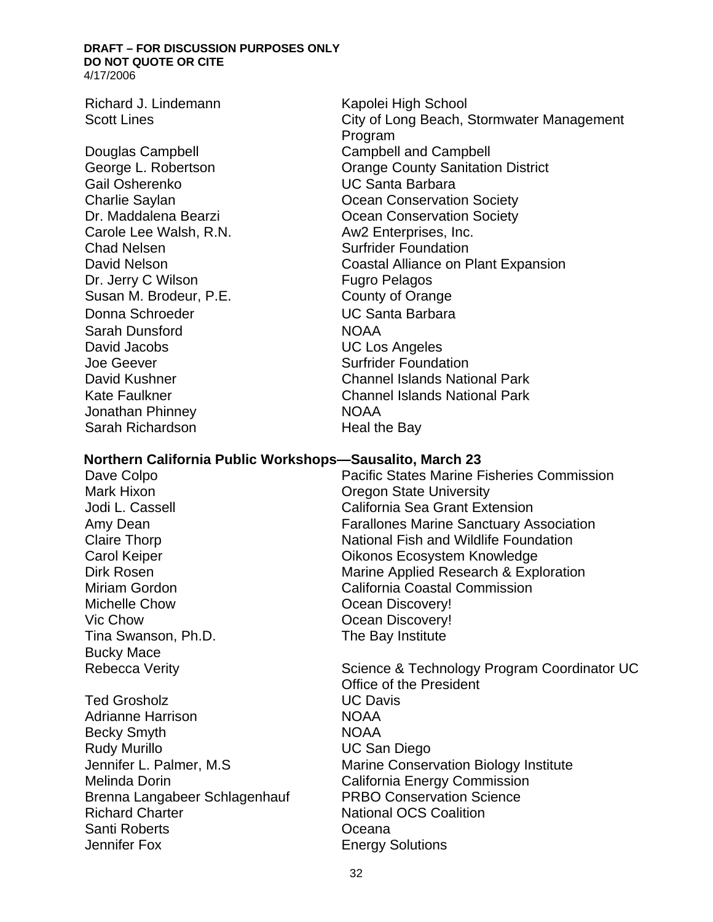Richard J. Lindemann Kapolei High School

Gail Osherenko UC Santa Barbara Carole Lee Walsh, R.N. Aw2 Enterprises, Inc. Chad Nelsen Surfrider Foundation Dr. Jerry C Wilson **Fugro Pelagos** Susan M. Brodeur, P.E. County of Orange Donna Schroeder UC Santa Barbara Sarah Dunsford NOAA David Jacobs UC Los Angeles Joe Geever Surfrider Foundation Jonathan Phinney **NOAA** Sarah Richardson **Heal the Bay** 

Scott Lines **City of Long Beach, Stormwater Management** Program Douglas Campbell Campbell and Campbell George L. Robertson Orange County Sanitation District **Charlie Saylan Conservation Society** Charlie Saylan Dr. Maddalena Bearzi **Dr. Maddalena Bearzi** Cocean Conservation Society David Nelson Coastal Alliance on Plant Expansion David Kushner Channel Islands National Park Kate Faulkner Channel Islands National Park

#### **Northern California Public Workshops—Sausalito, March 23**

Michelle Chow **Ocean Discovery!** Vic Chow **Ocean Discovery!** Tina Swanson, Ph.D. The Bay Institute Bucky Mace

Ted Grosholz **National Community Community** UC Davis Adrianne Harrison NOAA Becky Smyth NOAA Rudy Murillo **National Community Community** UC San Diego Melinda Dorin **California Energy Commission** Brenna Langabeer Schlagenhauf PRBO Conservation Science Richard Charter National OCS Coalition Santi Roberts Oceana Jennifer Fox **Energy Solutions** 

Dave Colpo Pacific States Marine Fisheries Commission Mark Hixon **Mark Hixon Oregon State University** Jodi L. Cassell California Sea Grant Extension Amy Dean Farallones Marine Sanctuary Association Claire Thorp **National Fish and Wildlife Foundation** Carol Keiper **Carol Keiper Carol Keiper Carol Keiper** Oikonos Ecosystem Knowledge Dirk Rosen **Marine Applied Research & Exploration** Miriam Gordon California Coastal Commission

Rebecca Verity **Science & Technology Program Coordinator UC** Office of the President Jennifer L. Palmer, M.S Marine Conservation Biology Institute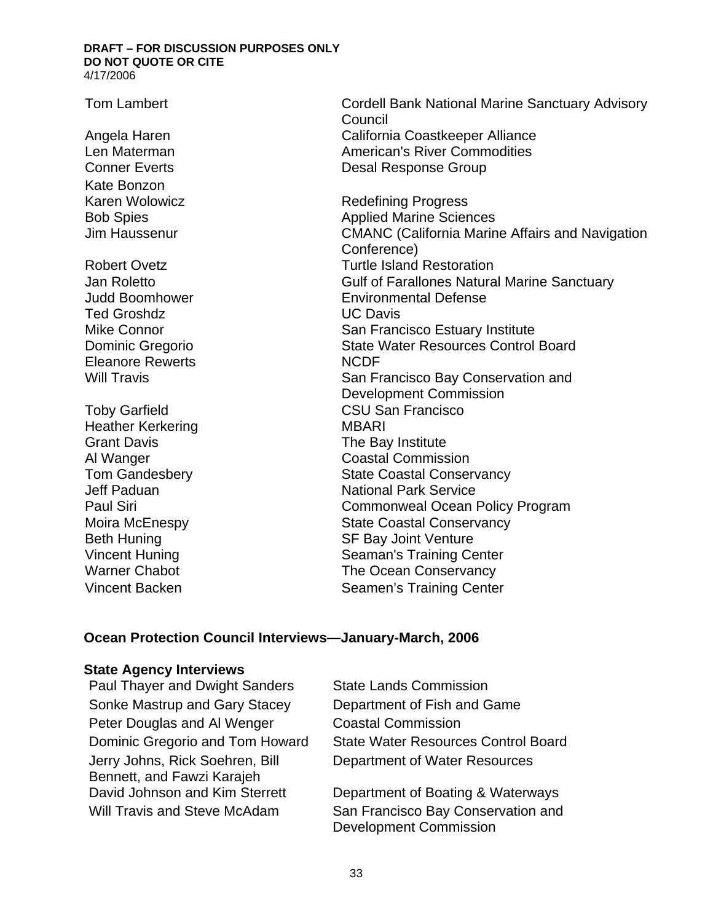Kate Bonzon

Ted Groshdz UC Davis Eleanore Rewerts NCDF

Heather Kerkering MBARI Grant Davis **Grant Davis Constant Davis Constant Davis Constant Davis Constant Davis Constant Davis Constant Davis Constant Davis Constant Davis Constant Davis Constant Davis Constant Davis Constant** 

Tom Lambert Cordell Bank National Marine Sanctuary Advisory **Council** Angela Haren **California Coastkeeper Alliance** Len Materman **American's River Commodities Conner Everts** Conner Everts **Desal Response Group** 

Karen Wolowicz **Redefining Progress** Bob Spies **Applied Marine Sciences** Jim Haussenur CMANC (California Marine Affairs and Navigation Conference) Robert Ovetz **Turtle Island Restoration** Jan Roletto Gulf of Farallones Natural Marine Sanctuary Judd Boomhower Environmental Defense Mike Connor **Nightlands** San Francisco Estuary Institute Dominic Gregorio State Water Resources Control Board Will Travis **San Francisco Bay Conservation and** Development Commission Toby Garfield CSU San Francisco Al Wanger Coastal Commission Tom Gandesbery **State Coastal Conservancy Jeff Paduan** National Park Service Paul Siri **Commonweal Ocean Policy Program** Moira McEnespy **State Coastal Conservancy** Beth Huning **SF Bay Joint Venture** Vincent Huning Seaman's Training Center Warner Chabot The Ocean Conservancy Vincent Backen Seamen's Training Center

## **Ocean Protection Council Interviews—January-March, 2006**

#### **State Agency Interviews**

Paul Thayer and Dwight Sanders State Lands Commission Sonke Mastrup and Gary Stacey Department of Fish and Game Peter Douglas and Al Wenger Coastal Commission Jerry Johns, Rick Soehren, Bill Bennett, and Fawzi Karajeh

Dominic Gregorio and Tom Howard State Water Resources Control Board Department of Water Resources

David Johnson and Kim Sterrett Department of Boating & Waterways Will Travis and Steve McAdam San Francisco Bay Conservation and Development Commission